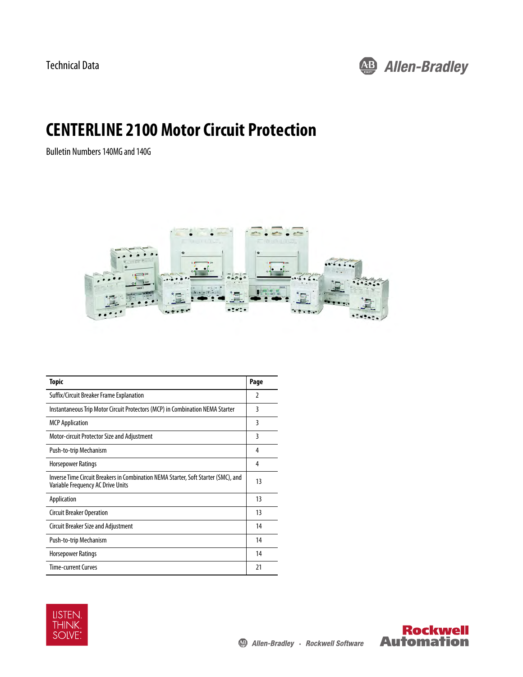

# **CENTERLINE 2100 Motor Circuit Protection**

Bulletin Numbers 140MG and 140G



| Topic                                                                                                                   | Page |
|-------------------------------------------------------------------------------------------------------------------------|------|
| Suffix/Circuit Breaker Frame Explanation                                                                                | 2    |
| Instantaneous Trip Motor Circuit Protectors (MCP) in Combination NEMA Starter                                           | 3    |
| <b>MCP</b> Application                                                                                                  | 3    |
| Motor-circuit Protector Size and Adjustment                                                                             | 3    |
| Push-to-trip Mechanism                                                                                                  | 4    |
| <b>Horsepower Ratings</b>                                                                                               | 4    |
| Inverse Time Circuit Breakers in Combination NEMA Starter, Soft Starter (SMC), and<br>Variable Frequency AC Drive Units | 13   |
| Application                                                                                                             | 13   |
| <b>Circuit Breaker Operation</b>                                                                                        | 13   |
| Circuit Breaker Size and Adjustment                                                                                     | 14   |
| Push-to-trip Mechanism                                                                                                  | 14   |
| <b>Horsepower Ratings</b>                                                                                               | 14   |
| Time-current Curves                                                                                                     | 21   |



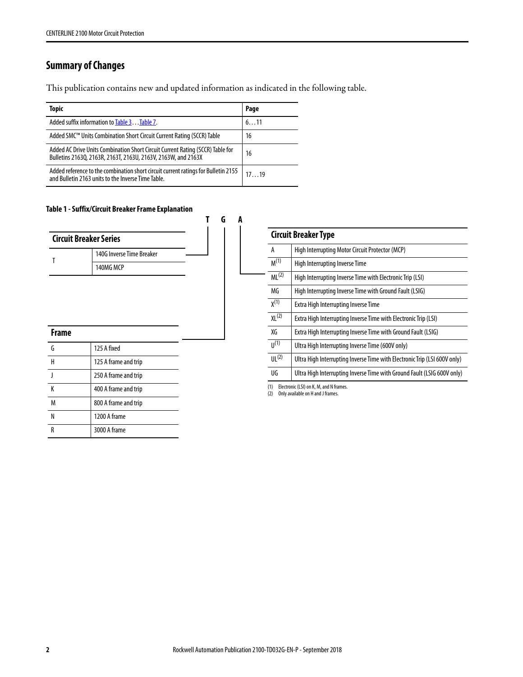# **Summary of Changes**

This publication contains new and updated information as indicated in the following table.

| <b>Topic</b>                                                                                                                                    | Page |
|-------------------------------------------------------------------------------------------------------------------------------------------------|------|
| Added suffix information to Table 3Table 7.                                                                                                     | 611  |
| Added SMC™ Units Combination Short Circuit Current Rating (SCCR) Table                                                                          | 16   |
| Added AC Drive Units Combination Short Circuit Current Rating (SCCR) Table for<br>Bulletins 2163Q, 2163R, 2163T, 2163U, 2163V, 2163W, and 2163X | 16   |
| Added reference to the combination short circuit current ratings for Bulletin 2155<br>and Bulletin 2163 units to the Inverse Time Table.        | 1719 |

#### **Table 1 - Suffix/Circuit Breaker Frame Explanation**

<span id="page-1-1"></span><span id="page-1-0"></span>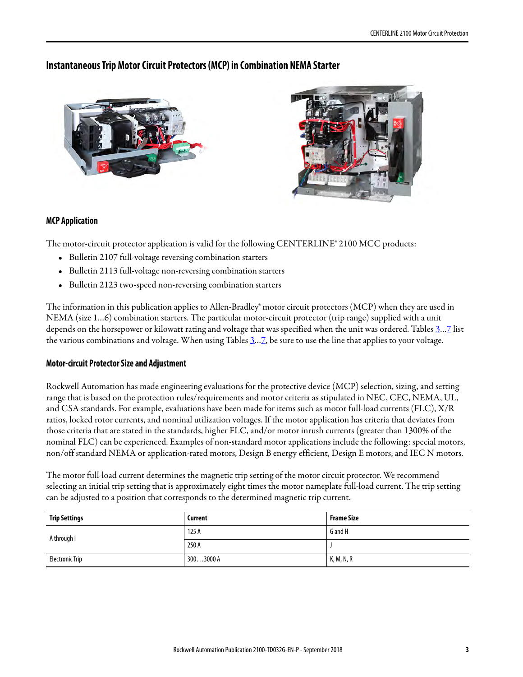# <span id="page-2-0"></span>**Instantaneous Trip Motor Circuit Protectors (MCP) in Combination NEMA Starter**



# <span id="page-2-1"></span>**MCP Application**

The motor-circuit protector application is valid for the following CENTERLINE® 2100 MCC products:

- **•** Bulletin 2107 full-voltage reversing combination starters
- **•** Bulletin 2113 full-voltage non-reversing combination starters
- **•** Bulletin 2123 two-speed non-reversing combination starters

The information in this publication applies to Allen-Bradley® motor circuit protectors (MCP) when they are used in NEMA (size 1…6) combination starters. The particular motor-circuit protector (trip range) supplied with a unit depends on the horsepower or kilowatt rating and voltage that was specified when the unit was ordered. Tables [3](#page-5-0)[…7](#page-10-0) list the various combinations and voltage. When using Tables  $\underline{3}... \underline{7}$  $\underline{3}... \underline{7}$  $\underline{3}... \underline{7}$  $\underline{3}... \underline{7}$  $\underline{3}... \underline{7}$ , be sure to use the line that applies to your voltage.

### <span id="page-2-2"></span>**Motor-circuit Protector Size and Adjustment**

Rockwell Automation has made engineering evaluations for the protective device (MCP) selection, sizing, and setting range that is based on the protection rules/requirements and motor criteria as stipulated in NEC, CEC, NEMA, UL, and CSA standards. For example, evaluations have been made for items such as motor full-load currents (FLC), X/R ratios, locked rotor currents, and nominal utilization voltages. If the motor application has criteria that deviates from those criteria that are stated in the standards, higher FLC, and/or motor inrush currents (greater than 1300% of the nominal FLC) can be experienced. Examples of non-standard motor applications include the following: special motors, non/off standard NEMA or application-rated motors, Design B energy efficient, Design E motors, and IEC N motors.

The motor full-load current determines the magnetic trip setting of the motor circuit protector. We recommend selecting an initial trip setting that is approximately eight times the motor nameplate full-load current. The trip setting can be adjusted to a position that corresponds to the determined magnetic trip current.

| <b>Trip Settings</b> | Current  | <b>Frame Size</b> |
|----------------------|----------|-------------------|
| A through I          | 125 A    | G and H           |
|                      | 250 A    |                   |
| Electronic Trip      | 3003000A | K, M, N, R        |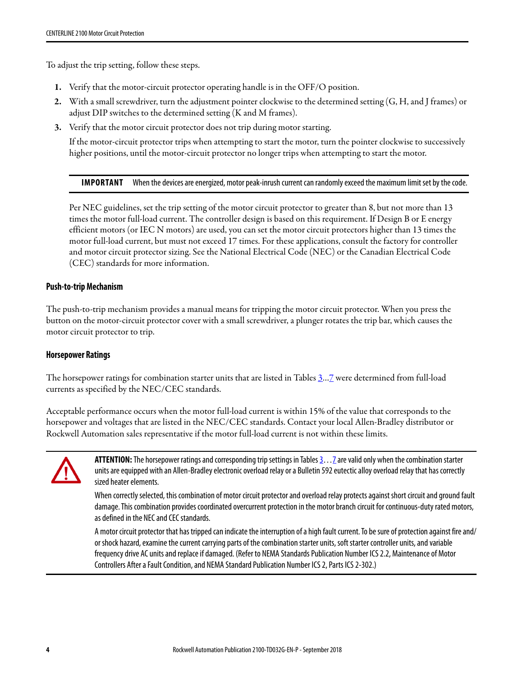To adjust the trip setting, follow these steps.

- **1.** Verify that the motor-circuit protector operating handle is in the OFF/O position.
- **2.** With a small screwdriver, turn the adjustment pointer clockwise to the determined setting (G, H, and J frames) or adjust DIP switches to the determined setting (K and M frames).
- **3.** Verify that the motor circuit protector does not trip during motor starting.

If the motor-circuit protector trips when attempting to start the motor, turn the pointer clockwise to successively higher positions, until the motor-circuit protector no longer trips when attempting to start the motor.

**IMPORTANT** When the devices are energized, motor peak-inrush current can randomly exceed the maximum limit set by the code.

Per NEC guidelines, set the trip setting of the motor circuit protector to greater than 8, but not more than 13 times the motor full-load current. The controller design is based on this requirement. If Design B or E energy efficient motors (or IEC N motors) are used, you can set the motor circuit protectors higher than 13 times the motor full-load current, but must not exceed 17 times. For these applications, consult the factory for controller and motor circuit protector sizing. See the National Electrical Code (NEC) or the Canadian Electrical Code (CEC) standards for more information.

### <span id="page-3-0"></span>**Push-to-trip Mechanism**

The push-to-trip mechanism provides a manual means for tripping the motor circuit protector. When you press the button on the motor-circuit protector cover with a small screwdriver, a plunger rotates the trip bar, which causes the motor circuit protector to trip.

### <span id="page-3-1"></span>**Horsepower Ratings**

The horsepower ratings for combination starter units that are listed in Tables 3... [7](#page-10-0) were determined from full-load currents as specified by the NEC/CEC standards.

Acceptable performance occurs when the motor full-load current is within 15% of the value that corresponds to the horsepower and voltages that are listed in the NEC/CEC standards. Contact your local Allen-Bradley distributor or Rockwell Automation sales representative if the motor full-load current is not within these limits.



**ATTENTION:** The horsepower ratings and corresponding trip settings in Tables [3](#page-5-0)[…7](#page-10-0) are valid only when the combination starter units are equipped with an Allen-Bradley electronic overload relay or a Bulletin 592 eutectic alloy overload relay that has correctly sized heater elements.

When correctly selected, this combination of motor circuit protector and overload relay protects against short circuit and ground fault damage. This combination provides coordinated overcurrent protection in the motor branch circuit for continuous-duty rated motors, as defined in the NEC and CEC standards.

A motor circuit protector that has tripped can indicate the interruption of a high fault current. To be sure of protection against fire and/ or shock hazard, examine the current carrying parts of the combination starter units, soft starter controller units, and variable frequency drive AC units and replace if damaged. (Refer to NEMA Standards Publication Number ICS 2.2, Maintenance of Motor Controllers After a Fault Condition, and NEMA Standard Publication Number ICS 2, Parts ICS 2-302.)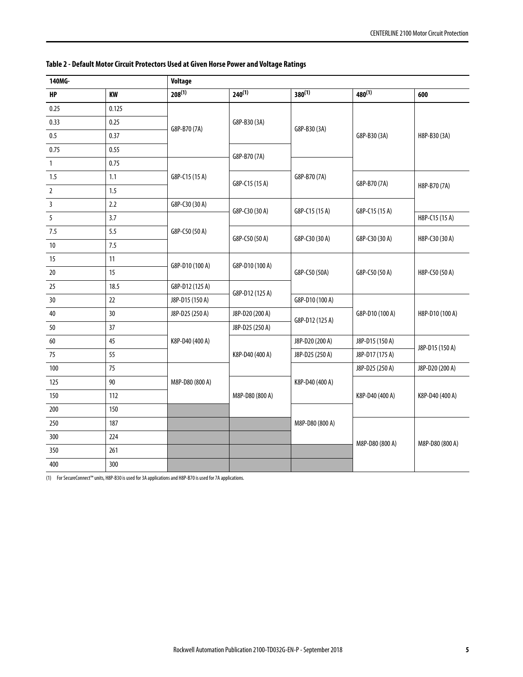| Table 2 - Default Motor Circuit Protectors Used at Given Horse Power and Voltage Ratings |
|------------------------------------------------------------------------------------------|
|------------------------------------------------------------------------------------------|

| 140MG-         |       | <b>Voltage</b>                                                                                                                                                                       |                 |                 |                 |                 |
|----------------|-------|--------------------------------------------------------------------------------------------------------------------------------------------------------------------------------------|-----------------|-----------------|-----------------|-----------------|
| <b>HP</b>      | KW    | $208^{(1)}$                                                                                                                                                                          | $240^{(1)}$     | $380^{(1)}$     | $480^{(1)}$     | 600             |
| 0.25           | 0.125 |                                                                                                                                                                                      |                 |                 |                 |                 |
| 0.33           | 0.25  | G8P-B70 (7A)<br>G8P-C15 (15 A)<br>G8P-C30 (30 A)<br>G8P-C50 (50 A)<br>G8P-D10 (100 A)<br>G8P-D12 (125 A)<br>J8P-D15 (150 A)<br>J8P-D25 (250 A)<br>K8P-D40 (400 A)<br>M8P-D80 (800 A) | G8P-B30 (3A)    | G8P-B30 (3A)    |                 |                 |
| 0.5            | 0.37  |                                                                                                                                                                                      |                 |                 | G8P-B30 (3A)    | H8P-B30 (3A)    |
| 0.75           | 0.55  |                                                                                                                                                                                      | G8P-B70 (7A)    |                 |                 |                 |
| $\mathbf{1}$   | 0.75  |                                                                                                                                                                                      |                 |                 |                 |                 |
| 1.5            | 1.1   |                                                                                                                                                                                      | G8P-C15 (15 A)  | G8P-B70 (7A)    | G8P-B70 (7A)    |                 |
| $\overline{2}$ | 1.5   |                                                                                                                                                                                      |                 |                 |                 | H8P-B70 (7A)    |
| $\overline{3}$ | 2.2   |                                                                                                                                                                                      | G8P-C30 (30 A)  | G8P-C15 (15 A)  | G8P-C15 (15 A)  |                 |
| 5              | 3.7   |                                                                                                                                                                                      |                 |                 |                 | H8P-C15 (15 A)  |
| 7.5            | 5.5   |                                                                                                                                                                                      | G8P-C50 (50 A)  | G8P-C30 (30 A)  | G8P-C30 (30 A)  | H8P-C30 (30 A)  |
| 10             | 7.5   |                                                                                                                                                                                      |                 |                 |                 |                 |
| 15             | 11    |                                                                                                                                                                                      | G8P-D10 (100 A) |                 |                 |                 |
| 20             | 15    |                                                                                                                                                                                      |                 | G8P-C50 (50A)   | G8P-C50 (50 A)  | H8P-C50 (50 A)  |
| 25             | 18.5  |                                                                                                                                                                                      | G8P-D12 (125 A) |                 |                 |                 |
| $30\,$         | 22    |                                                                                                                                                                                      |                 | G8P-D10 (100 A) |                 |                 |
| 40             | 30    |                                                                                                                                                                                      | J8P-D20 (200 A) | G8P-D12 (125 A) | G8P-D10 (100 A) | H8P-D10 (100 A) |
| 50             | 37    |                                                                                                                                                                                      | J8P-D25 (250 A) |                 |                 |                 |
| 60             | 45    |                                                                                                                                                                                      |                 | J8P-D20 (200 A) | J8P-D15 (150 A) | J8P-D15 (150 A) |
| 75             | 55    |                                                                                                                                                                                      | K8P-D40 (400 A) | J8P-D25 (250 A) | J8P-D17 (175 A) |                 |
| 100            | 75    |                                                                                                                                                                                      |                 |                 | J8P-D25 (250 A) | J8P-D20 (200 A) |
| 125            | 90    |                                                                                                                                                                                      |                 | K8P-D40 (400 A) |                 |                 |
| 150            | 112   |                                                                                                                                                                                      | M8P-D80 (800 A) |                 | K8P-D40 (400 A) | K8P-D40 (400 A) |
| 200            | 150   |                                                                                                                                                                                      |                 |                 |                 |                 |
| 250            | 187   |                                                                                                                                                                                      |                 | M8P-D80 (800 A) |                 |                 |
| 300            | 224   |                                                                                                                                                                                      |                 |                 | M8P-D80 (800 A) | M8P-D80 (800 A) |
| 350            | 261   |                                                                                                                                                                                      |                 |                 |                 |                 |
| 400            | 300   |                                                                                                                                                                                      |                 |                 |                 |                 |

<span id="page-4-0"></span>(1) For SecureConnect™ units, H8P-B30 is used for 3A applications and H8P-B70 is used for 7A applications.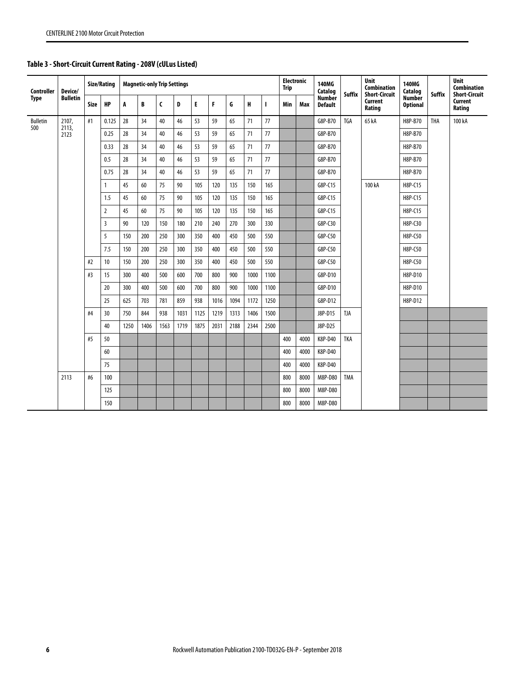# <span id="page-5-0"></span>**Table 3 - Short-Circuit Current Rating - 208V (cULus Listed)**

| <b>Controller</b>      | Device/         |       | Size/Rating    |      | <b>Magnetic-only Trip Settings</b> |              |      |      |      |      |      |              | <b>Electronic</b><br><b>Trip</b> |      | <b>140MG</b><br>Catalog         | <b>Suffix</b> | Unit<br><b>Combination</b><br><b>Short-Circuit</b> | <b>140MG</b><br>Catalog          | <b>Suffix</b> | <b>Unit</b><br><b>Combination</b><br><b>Short-Circuit</b> |
|------------------------|-----------------|-------|----------------|------|------------------------------------|--------------|------|------|------|------|------|--------------|----------------------------------|------|---------------------------------|---------------|----------------------------------------------------|----------------------------------|---------------|-----------------------------------------------------------|
| <b>Type</b>            | <b>Bulletin</b> | Size  | HP             | A    | B                                  | $\mathsf{C}$ | D    | E    | F    | G    | H    | $\mathbf{I}$ | Min                              | Max  | <b>Number</b><br><b>Default</b> |               | Current<br>Rating                                  | <b>Number</b><br><b>Optional</b> |               | <b>Current</b><br>Rating                                  |
| <b>Bulletin</b><br>500 | 2107,<br>2113,  | $\#1$ | 0.125          | 28   | 34                                 | 40           | 46   | 53   | 59   | 65   | 71   | 77           |                                  |      | G8P-B70                         | <b>TGA</b>    | 65 kA                                              | H8P-B70                          | <b>THA</b>    | 100 kA                                                    |
|                        | 2123            |       | 0.25           | 28   | 34                                 | 40           | 46   | 53   | 59   | 65   | 71   | 77           |                                  |      | G8P-B70                         |               |                                                    | H8P-B70                          |               |                                                           |
|                        |                 |       | 0.33           | 28   | 34                                 | 40           | 46   | 53   | 59   | 65   | 71   | 77           |                                  |      | G8P-B70                         |               |                                                    | H8P-B70                          |               |                                                           |
|                        |                 |       | 0.5            | 28   | 34                                 | 40           | 46   | 53   | 59   | 65   | 71   | 77           |                                  |      | G8P-B70                         |               |                                                    | H8P-B70                          |               |                                                           |
|                        |                 |       | 0.75           | 28   | 34                                 | 40           | 46   | 53   | 59   | 65   | 71   | 77           |                                  |      | G8P-B70                         |               |                                                    | H8P-B70                          |               |                                                           |
|                        |                 |       | $\mathbf{1}$   | 45   | 60                                 | 75           | 90   | 105  | 120  | 135  | 150  | 165          |                                  |      | G8P-C15                         |               | 100 kA                                             | H8P-C15                          |               |                                                           |
|                        |                 |       | 1.5            | 45   | 60                                 | 75           | 90   | 105  | 120  | 135  | 150  | 165          |                                  |      | G8P-C15                         |               |                                                    | H8P-C15                          |               |                                                           |
|                        |                 |       | $\overline{2}$ | 45   | 60                                 | 75           | 90   | 105  | 120  | 135  | 150  | 165          |                                  |      | G8P-C15                         |               |                                                    | H8P-C15                          |               |                                                           |
|                        |                 |       | 3              | 90   | 120                                | 150          | 180  | 210  | 240  | 270  | 300  | 330          |                                  |      | G8P-C30                         |               |                                                    | H8P-C30                          |               |                                                           |
|                        |                 |       | 5              | 150  | 200                                | 250          | 300  | 350  | 400  | 450  | 500  | 550          |                                  |      | G8P-C50                         |               |                                                    | H8P-C50                          |               |                                                           |
|                        |                 |       | 7.5            | 150  | 200                                | 250          | 300  | 350  | 400  | 450  | 500  | 550          |                                  |      | G8P-C50                         |               |                                                    | H8P-C50                          |               |                                                           |
|                        |                 | #2    | 10             | 150  | 200                                | 250          | 300  | 350  | 400  | 450  | 500  | 550          |                                  |      | G8P-C50                         |               |                                                    | H8P-C50                          |               |                                                           |
|                        |                 | #3    | 15             | 300  | 400                                | 500          | 600  | 700  | 800  | 900  | 1000 | 1100         |                                  |      | G8P-D10                         |               |                                                    | H8P-D10                          |               |                                                           |
|                        |                 |       | 20             | 300  | 400                                | 500          | 600  | 700  | 800  | 900  | 1000 | 1100         |                                  |      | G8P-D10                         |               |                                                    | H8P-D10                          |               |                                                           |
|                        |                 |       | 25             | 625  | 703                                | 781          | 859  | 938  | 1016 | 1094 | 1172 | 1250         |                                  |      | G8P-D12                         |               |                                                    | H8P-D12                          |               |                                                           |
|                        |                 | #4    | 30             | 750  | 844                                | 938          | 1031 | 1125 | 1219 | 1313 | 1406 | 1500         |                                  |      | J8P-D15                         | <b>TJA</b>    |                                                    |                                  |               |                                                           |
|                        |                 |       | 40             | 1250 | 1406                               | 1563         | 1719 | 1875 | 2031 | 2188 | 2344 | 2500         |                                  |      | J8P-D25                         |               |                                                    |                                  |               |                                                           |
|                        |                 | #5    | 50             |      |                                    |              |      |      |      |      |      |              | 400                              | 4000 | K8P-D40                         | <b>TKA</b>    |                                                    |                                  |               |                                                           |
|                        |                 |       | 60             |      |                                    |              |      |      |      |      |      |              | 400                              | 4000 | K8P-D40                         |               |                                                    |                                  |               |                                                           |
|                        |                 |       | 75             |      |                                    |              |      |      |      |      |      |              | 400                              | 4000 | K8P-D40                         |               |                                                    |                                  |               |                                                           |
|                        | 2113            | #6    | 100            |      |                                    |              |      |      |      |      |      |              | 800                              | 8000 | M8P-D80                         | <b>TMA</b>    |                                                    |                                  |               |                                                           |
|                        |                 |       | 125            |      |                                    |              |      |      |      |      |      |              | 800                              | 8000 | M8P-D80                         |               |                                                    |                                  |               |                                                           |
|                        |                 |       | 150            |      |                                    |              |      |      |      |      |      |              | 800                              | 8000 | M8P-D80                         |               |                                                    |                                  |               |                                                           |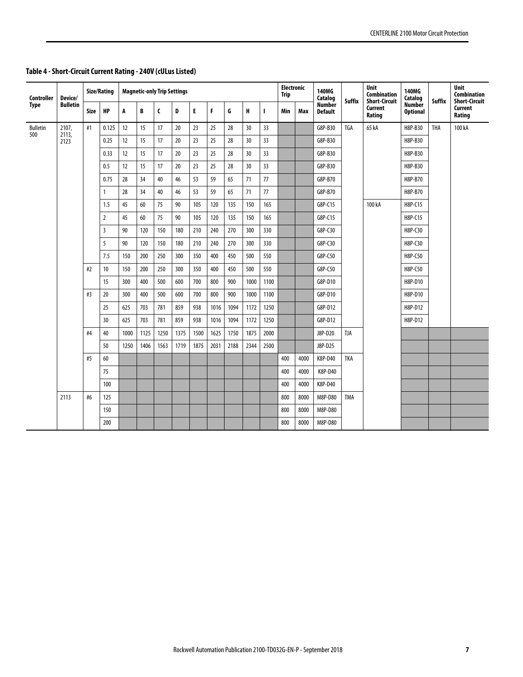| <b>Controller</b><br><b>Type</b> | Device/         |      | Size/Rating    |      |      | <b>Magnetic-only Trip Settings</b> |      |      |      |      |      |      | <b>Electronic</b><br><b>Trip</b> |      | 140MG<br>Catalog                | <b>Suffix</b> | Unit<br><b>Combination</b><br><b>Short-Circuit</b> | 140MG<br>Catalog                 | <b>Suffix</b>      | <b>Unit</b><br><b>Combination</b><br><b>Short-Circuit</b> |
|----------------------------------|-----------------|------|----------------|------|------|------------------------------------|------|------|------|------|------|------|----------------------------------|------|---------------------------------|---------------|----------------------------------------------------|----------------------------------|--------------------|-----------------------------------------------------------|
|                                  | <b>Bulletin</b> | Size | HP             | A    | B    | C                                  | D    | E    | F    | G    | Н    | п    | Min                              | Max  | <b>Number</b><br><b>Default</b> |               | Current<br>Rating                                  | <b>Number</b><br><b>Optional</b> |                    | Current<br>Rating                                         |
| <b>Bulletin</b><br>500           | 2107,<br>2113,  | #1   | 0.125          | 12   | 15   | 17                                 | 20   | 23   | 25   | 28   | 30   | 33   |                                  |      | G8P-B30                         | <b>TGA</b>    | 65 kA                                              | H8P-B30                          | <b>THA</b>         | 100 kA                                                    |
|                                  | 2123            |      | 0.25           | 12   | 15   | 17                                 | 20   | 23   | 25   | 28   | 30   | 33   |                                  |      | G8P-B30                         |               |                                                    | H8P-B30                          |                    |                                                           |
|                                  |                 |      | 0.33           | 12   | 15   | 17                                 | 20   | 23   | 25   | 28   | 30   | 33   |                                  |      | G8P-B30                         |               |                                                    | H8P-B30                          |                    |                                                           |
|                                  |                 |      | 0.5            | 12   | 15   | 17                                 | 20   | 23   | 25   | 28   | 30   | 33   |                                  |      | G8P-B30                         |               |                                                    | H8P-B30                          |                    |                                                           |
|                                  |                 |      | 0.75           | 28   | 34   | 40                                 | 46   | 53   | 59   | 65   | 71   | 77   |                                  |      | G8P-B70                         |               |                                                    | H8P-B70                          |                    |                                                           |
|                                  |                 |      | $\mathbf{1}$   | 28   | 34   | 40                                 | 46   | 53   | 59   | 65   | 71   | 77   |                                  |      | G8P-B70                         |               |                                                    | H8P-B70                          |                    |                                                           |
|                                  |                 |      | 1.5            | 45   | 60   | 75                                 | 90   | 105  | 120  | 135  | 150  | 165  |                                  |      | G8P-C15                         |               | 100 kA                                             | H8P-C15                          |                    |                                                           |
|                                  |                 |      | $\overline{2}$ | 45   | 60   | 75                                 | 90   | 105  | 120  | 135  | 150  | 165  |                                  |      | G8P-C15                         |               |                                                    | H8P-C15                          |                    |                                                           |
|                                  |                 |      | $\overline{3}$ | 90   | 120  | 150                                | 180  | 210  | 240  | 270  | 300  | 330  |                                  |      | G8P-C30                         |               |                                                    | H8P-C30                          |                    |                                                           |
|                                  |                 |      | 5              | 90   | 120  | 150                                | 180  | 210  | 240  | 270  | 300  | 330  |                                  |      | G8P-C30                         |               |                                                    | H8P-C30                          | H8P-C50<br>H8P-C50 |                                                           |
|                                  |                 |      | 7.5            | 150  | 200  | 250                                | 300  | 350  | 400  | 450  | 500  | 550  |                                  |      | G8P-C50                         |               |                                                    |                                  |                    |                                                           |
|                                  |                 | #2   | 10             | 150  | 200  | 250                                | 300  | 350  | 400  | 450  | 500  | 550  |                                  |      | G8P-C50                         |               |                                                    |                                  |                    |                                                           |
|                                  |                 |      | 15             | 300  | 400  | 500                                | 600  | 700  | 800  | 900  | 1000 | 1100 |                                  |      | G8P-D10                         |               |                                                    | H8P-D10                          |                    |                                                           |
|                                  |                 | #3   | 20             | 300  | 400  | 500                                | 600  | 700  | 800  | 900  | 1000 | 1100 |                                  |      | G8P-D10                         |               |                                                    | H8P-D10                          |                    |                                                           |
|                                  |                 |      | 25             | 625  | 703  | 781                                | 859  | 938  | 1016 | 1094 | 1172 | 1250 |                                  |      | $G8P-D12$                       |               |                                                    | H8P-D12                          |                    |                                                           |
|                                  |                 |      | 30             | 625  | 703  | 781                                | 859  | 938  | 1016 | 1094 | 1172 | 1250 |                                  |      | G8P-D12                         |               |                                                    | H8P-D12                          |                    |                                                           |
|                                  |                 | #4   | 40             | 1000 | 1125 | 1250                               | 1375 | 1500 | 1625 | 1750 | 1875 | 2000 |                                  |      | J8P-D20                         | <b>TJA</b>    |                                                    |                                  |                    |                                                           |
|                                  |                 |      | 50             | 1250 | 1406 | 1563                               | 1719 | 1875 | 2031 | 2188 | 2344 | 2500 |                                  |      | J8P-D25                         |               |                                                    |                                  |                    |                                                           |
|                                  |                 | #5   | 60             |      |      |                                    |      |      |      |      |      |      | 400                              | 4000 | K8P-D40                         | <b>TKA</b>    |                                                    |                                  |                    |                                                           |
|                                  |                 |      | 75             |      |      |                                    |      |      |      |      |      |      | 400                              | 4000 | K8P-D40                         |               |                                                    |                                  |                    |                                                           |
|                                  |                 |      | 100            |      |      |                                    |      |      |      |      |      |      | 400                              | 4000 | K8P-D40                         |               |                                                    |                                  |                    |                                                           |
|                                  | 2113            | #6   | 125            |      |      |                                    |      |      |      |      |      |      | 800                              | 8000 | M8P-D80                         | <b>TMA</b>    |                                                    |                                  |                    |                                                           |
|                                  |                 |      | 150            |      |      |                                    |      |      |      |      |      |      | 800                              | 8000 | M8P-D80                         |               |                                                    |                                  |                    |                                                           |
|                                  |                 |      | 200            |      |      |                                    |      |      |      |      |      |      | 800                              | 8000 | M8P-D80                         |               |                                                    |                                  |                    |                                                           |

# **Table 4 - Short-Circuit Current Rating - 240V (cULus Listed)**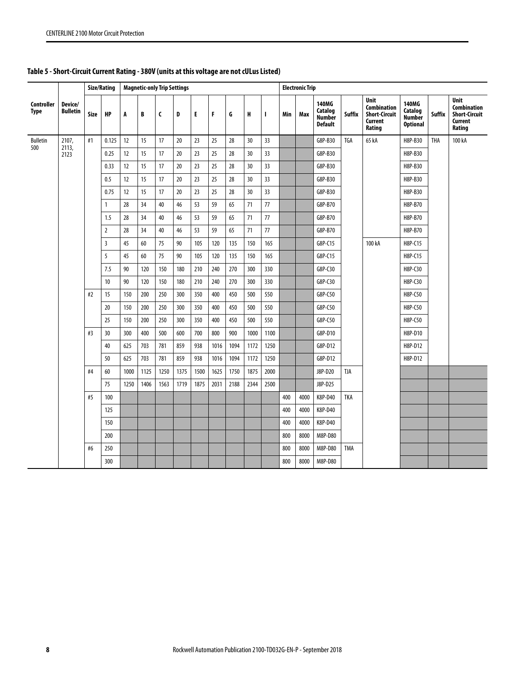|                    |                            |      | Size/Rating    | <b>Magnetic-only Trip Settings</b> |      |      |        |      |                                                |      |      |              |     | <b>Electronic Trip</b> |                                                     |               |                                                                                |                                                      |               |                                                                                |  |  |
|--------------------|----------------------------|------|----------------|------------------------------------|------|------|--------|------|------------------------------------------------|------|------|--------------|-----|------------------------|-----------------------------------------------------|---------------|--------------------------------------------------------------------------------|------------------------------------------------------|---------------|--------------------------------------------------------------------------------|--|--|
| Controller<br>Type | Device/<br><b>Bulletin</b> | Size | HP             | A                                  | B    | C    | D      | E    | F                                              | G    | H    | $\mathbf{I}$ | Min | Max                    | <b>140MG</b><br>Catalog<br>Number<br><b>Default</b> | <b>Suffix</b> | <b>Unit</b><br><b>Combination</b><br><b>Short-Circuit</b><br>Current<br>Rating | 140MG<br>Catalog<br><b>Number</b><br><b>Optional</b> | <b>Suffix</b> | <b>Unit</b><br><b>Combination</b><br><b>Short-Circuit</b><br>Current<br>Rating |  |  |
| <b>Bulletin</b>    | 2107,                      | #1   | 0.125          | 12                                 | 15   | 17   | 20     | 23   | 25                                             | 28   | 30   | 33           |     |                        | G8P-B30                                             | <b>TGA</b>    | 65 kA                                                                          | H8P-B30                                              | <b>THA</b>    | 100 kA                                                                         |  |  |
| 500                | 2113,<br>2123              |      | 0.25           | 12                                 | 15   | 17   | 20     | 23   | 25                                             | 28   | 30   | 33           |     |                        | G8P-B30                                             |               |                                                                                | H8P-B30                                              |               |                                                                                |  |  |
|                    |                            |      | 0.33           | 12                                 | 15   | 17   | 20     | 23   | 25                                             | 28   | 30   | 33           |     |                        | G8P-B30                                             |               |                                                                                | H8P-B30                                              |               |                                                                                |  |  |
|                    |                            |      | 0.5            | 12                                 | 15   | 17   | $20\,$ | 23   | 25                                             | 28   | 30   | 33           |     |                        | G8P-B30                                             |               |                                                                                | H8P-B30                                              |               |                                                                                |  |  |
|                    |                            |      | 0.75           | 12                                 | 15   | 17   | 20     | 23   | 25                                             | 28   | 30   | 33           |     |                        | G8P-B30                                             |               |                                                                                | H8P-B30                                              |               |                                                                                |  |  |
|                    |                            |      | 1              | 28                                 | 34   | 40   | 46     | 53   | 59                                             | 65   | 71   | 77           |     |                        | G8P-B70                                             |               |                                                                                | H8P-B70                                              |               |                                                                                |  |  |
|                    |                            |      | 1.5            | 28                                 | 34   | 40   | 46     | 53   | 59                                             | 65   | 71   | 77           |     |                        | G8P-B70                                             |               |                                                                                | H8P-B70                                              |               |                                                                                |  |  |
|                    |                            |      | $\overline{2}$ | 28                                 | 34   | 40   | 46     | 53   | 59                                             | 65   | 71   | 77           |     |                        | G8P-B70                                             |               |                                                                                | H8P-B70                                              |               |                                                                                |  |  |
|                    |                            |      | $\overline{3}$ | 45                                 | 60   | 75   | 90     | 105  | 120                                            | 135  | 150  | 165          |     |                        | G8P-C15                                             |               | 100 kA                                                                         | H8P-C15                                              |               |                                                                                |  |  |
|                    |                            |      | 5              | 45                                 | 60   | 75   | 90     | 105  | 120                                            | 135  | 150  | 165          |     |                        | G8P-C15                                             |               |                                                                                | H8P-C15                                              |               |                                                                                |  |  |
|                    |                            |      | 7.5            | 90                                 | 120  | 150  | 180    | 210  | 240                                            | 270  | 300  | 330          |     |                        | G8P-C30                                             |               |                                                                                | H8P-C30                                              |               |                                                                                |  |  |
|                    |                            |      | 10             | 90                                 | 120  | 150  | 180    | 210  | 240<br>270<br>300<br>330<br>G8P-C30<br>H8P-C30 |      |      |              |     |                        |                                                     |               |                                                                                |                                                      |               |                                                                                |  |  |
|                    |                            | #2   | 15             | 150                                | 200  | 250  | 300    | 350  | 400                                            | 450  | 500  | 550          |     |                        | G8P-C50                                             |               |                                                                                | H8P-C50                                              |               |                                                                                |  |  |
|                    |                            |      | 20             | 150                                | 200  | 250  | 300    | 350  | 400                                            | 450  | 500  | 550          |     |                        | G8P-C50                                             |               |                                                                                | H8P-C50                                              |               |                                                                                |  |  |
|                    |                            |      | 25             | 150                                | 200  | 250  | 300    | 350  | 400                                            | 450  | 500  | 550          |     |                        | G8P-C50                                             |               |                                                                                | H8P-C50                                              |               |                                                                                |  |  |
|                    |                            | #3   | 30             | 300                                | 400  | 500  | 600    | 700  | 800                                            | 900  | 1000 | 1100         |     |                        | G8P-D10                                             |               |                                                                                | H8P-D10<br>H8P-D12                                   |               |                                                                                |  |  |
|                    |                            |      | 40             | 625                                | 703  | 781  | 859    | 938  | 1016                                           | 1094 | 1172 | 1250         |     |                        | G8P-D12                                             |               |                                                                                |                                                      |               |                                                                                |  |  |
|                    |                            |      | 50             | 625                                | 703  | 781  | 859    | 938  | 1016                                           | 1094 | 1172 | 1250         |     |                        | G8P-D12                                             |               |                                                                                | H8P-D12                                              |               |                                                                                |  |  |
|                    |                            | #4   | 60             | 1000                               | 1125 | 1250 | 1375   | 1500 | 1625                                           | 1750 | 1875 | 2000         |     |                        | J8P-D20                                             | TJA           |                                                                                |                                                      |               |                                                                                |  |  |
|                    |                            |      | 75             | 1250                               | 1406 | 1563 | 1719   | 1875 | 2031                                           | 2188 | 2344 | 2500         |     |                        | J8P-D25                                             |               |                                                                                |                                                      |               |                                                                                |  |  |
|                    |                            | #5   | 100            |                                    |      |      |        |      |                                                |      |      |              | 400 | 4000                   | K8P-D40                                             | <b>TKA</b>    |                                                                                |                                                      |               |                                                                                |  |  |
|                    |                            |      | 125            |                                    |      |      |        |      |                                                |      |      |              | 400 | 4000                   | K8P-D40                                             |               |                                                                                |                                                      |               |                                                                                |  |  |
|                    |                            |      | 150            |                                    |      |      |        |      |                                                |      |      |              | 400 | 4000                   | K8P-D40                                             |               |                                                                                |                                                      |               |                                                                                |  |  |
|                    |                            |      | 200            |                                    |      |      |        |      |                                                |      |      |              | 800 | 8000                   | M8P-D80                                             |               |                                                                                |                                                      |               |                                                                                |  |  |
|                    |                            | #6   | 250            |                                    |      |      |        |      |                                                |      |      |              | 800 | 8000                   | M8P-D80                                             | <b>TMA</b>    |                                                                                |                                                      |               |                                                                                |  |  |
|                    |                            |      | 300            |                                    |      |      |        |      |                                                |      |      |              | 800 | 8000                   | M8P-D80                                             |               |                                                                                |                                                      |               |                                                                                |  |  |

# **Table 5 - Short-Circuit Current Rating - 380V (units at this voltage are not cULus Listed)**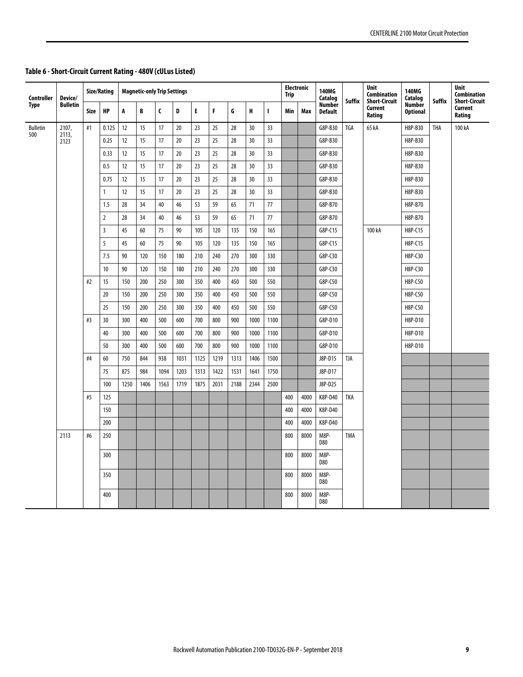| Controller             | Device/         |      | Size/Rating    |      | <b>Magnetic-only Trip Settings</b> |              |      |      |      |      |      |              | <b>Electronic</b><br><b>Trip</b> |      | <b>140MG</b><br>Catalog         | <b>Suffix</b> | <b>Unit</b><br><b>Combination</b><br><b>Short-Circuit</b> | 140MG<br>Catalog                 | <b>Suffix</b> | <b>Unit</b><br>Combination<br><b>Short-Circuit</b> |
|------------------------|-----------------|------|----------------|------|------------------------------------|--------------|------|------|------|------|------|--------------|----------------------------------|------|---------------------------------|---------------|-----------------------------------------------------------|----------------------------------|---------------|----------------------------------------------------|
| <b>Type</b>            | <b>Bulletin</b> | Size | <b>HP</b>      | A    | B                                  | $\mathsf{C}$ | D    | E    | F    | G    | H    | $\mathbf{I}$ | Min                              | Max  | <b>Number</b><br><b>Default</b> |               | Current<br>Rating                                         | <b>Number</b><br><b>Optional</b> |               | Current<br>Rating                                  |
| <b>Bulletin</b><br>500 | 2107,<br>2113,  | #1   | 0.125          | 12   | 15                                 | 17           | 20   | 23   | 25   | 28   | 30   | 33           |                                  |      | G8P-B30                         | TGA           | 65 kA                                                     | H8P-B30                          | <b>THA</b>    | 100 kA                                             |
|                        | 2123            |      | 0.25           | 12   | 15                                 | 17           | 20   | 23   | 25   | 28   | 30   | 33           |                                  |      | G8P-B30                         |               |                                                           | H8P-B30                          |               |                                                    |
|                        |                 |      | 0.33           | 12   | 15                                 | 17           | 20   | 23   | 25   | 28   | 30   | 33           |                                  |      | G8P-B30                         |               |                                                           | H8P-B30                          |               |                                                    |
|                        |                 |      | 0.5            | 12   | 15                                 | 17           | 20   | 23   | 25   | 28   | 30   | 33           |                                  |      | G8P-B30                         |               |                                                           | H8P-B30                          |               |                                                    |
|                        |                 |      | 0.75           | 12   | 15                                 | 17           | 20   | 23   | 25   | 28   | 30   | 33           |                                  |      | G8P-B30                         |               |                                                           | H8P-B30                          |               |                                                    |
|                        |                 |      | 1              | 12   | 15                                 | 17           | 20   | 23   | 25   | 28   | 30   | 33           |                                  |      | G8P-B30                         |               |                                                           | H8P-B30                          |               |                                                    |
|                        |                 |      | 1.5            | 28   | 34                                 | 40           | 46   | 53   | 59   | 65   | 71   | 77           |                                  |      | G8P-B70                         |               |                                                           | H8P-B70                          |               |                                                    |
|                        |                 |      | $\overline{2}$ | 28   | 34                                 | 40           | 46   | 53   | 59   | 65   | 71   | 77           |                                  |      | G8P-B70                         |               |                                                           | H8P-B70                          |               |                                                    |
|                        |                 |      | $\overline{3}$ | 45   | 60                                 | 75           | 90   | 105  | 120  | 135  | 150  | 165          |                                  |      | G8P-C15                         |               | 100 kA                                                    | H8P-C15                          |               |                                                    |
|                        |                 |      | $\overline{5}$ | 45   | 60                                 | 75           | 90   | 105  | 120  | 135  | 150  | 165          |                                  |      | G8P-C15                         |               |                                                           | H8P-C15                          |               |                                                    |
|                        |                 |      | 7.5            | 90   | 120                                | 150          | 180  | 210  | 240  | 270  | 300  | 330          |                                  |      | G8P-C30                         |               |                                                           | H8P-C30                          |               |                                                    |
|                        |                 |      | 10             | 90   | 120                                | 150          | 180  | 210  | 240  | 270  | 300  | 330          |                                  |      | G8P-C30                         |               |                                                           | H8P-C30                          |               |                                                    |
|                        |                 | #2   | 15             | 150  | 200                                | 250          | 300  | 350  | 400  | 450  | 500  | 550          |                                  |      | G8P-C50                         |               |                                                           | H8P-C50                          |               |                                                    |
|                        |                 |      | 20             | 150  | 200                                | 250          | 300  | 350  | 400  | 450  | 500  | 550          |                                  |      | G8P-C50                         |               |                                                           | H8P-C50                          |               |                                                    |
|                        |                 |      | 25             | 150  | 200                                | 250          | 300  | 350  | 400  | 450  | 500  | 550          |                                  |      | G8P-C50                         |               |                                                           | H8P-C50                          |               |                                                    |
|                        |                 | #3   | 30             | 300  | 400                                | 500          | 600  | 700  | 800  | 900  | 1000 | 1100         |                                  |      | G8P-D10                         |               |                                                           | H8P-D10                          |               |                                                    |
|                        |                 |      | 40             | 300  | 400                                | 500          | 600  | 700  | 800  | 900  | 1000 | 1100         |                                  |      | G8P-D10                         |               |                                                           | H8P-D10                          |               |                                                    |
|                        |                 |      | 50             | 300  | 400                                | 500          | 600  | 700  | 800  | 900  | 1000 | 1100         |                                  |      | G8P-D10                         |               |                                                           | H8P-D10                          |               |                                                    |
|                        |                 | #4   | 60             | 750  | 844                                | 938          | 1031 | 1125 | 1219 | 1313 | 1406 | 1500         |                                  |      | J8P-D15                         | <b>TJA</b>    |                                                           |                                  |               |                                                    |
|                        |                 |      | 75             | 875  | 984                                | 1094         | 1203 | 1313 | 1422 | 1531 | 1641 | 1750         |                                  |      | J8P-D17                         |               |                                                           |                                  |               |                                                    |
|                        |                 |      | 100            | 1250 | 1406                               | 1563         | 1719 | 1875 | 2031 | 2188 | 2344 | 2500         |                                  |      | J8P-D25                         |               |                                                           |                                  |               |                                                    |
|                        |                 | #5   | 125            |      |                                    |              |      |      |      |      |      |              | 400                              | 4000 | K8P-D40                         | <b>TKA</b>    |                                                           |                                  |               |                                                    |
|                        |                 |      | 150            |      |                                    |              |      |      |      |      |      |              | 400                              | 4000 | K8P-D40                         |               |                                                           |                                  |               |                                                    |
|                        |                 |      | 200            |      |                                    |              |      |      |      |      |      |              | 400                              | 4000 | K8P-D40                         |               |                                                           |                                  |               |                                                    |
|                        | 2113            | #6   | 250            |      |                                    |              |      |      |      |      |      |              | 800                              | 8000 | M8P-<br><b>D80</b>              | <b>TMA</b>    |                                                           |                                  |               |                                                    |
|                        |                 |      | 300            |      |                                    |              |      |      |      |      |      |              | 800                              | 8000 | M8P-<br><b>D80</b>              |               |                                                           |                                  |               |                                                    |
|                        |                 |      | 350            |      |                                    |              |      |      |      |      |      |              | 800                              | 8000 | M8P-<br>D80                     |               |                                                           |                                  |               |                                                    |
|                        |                 |      | 400            |      |                                    |              |      |      |      |      |      |              | 800                              | 8000 | M8P-<br>D80                     |               |                                                           |                                  |               |                                                    |

# **Table 6 - Short-Circuit Current Rating - 480V (cULus Listed)**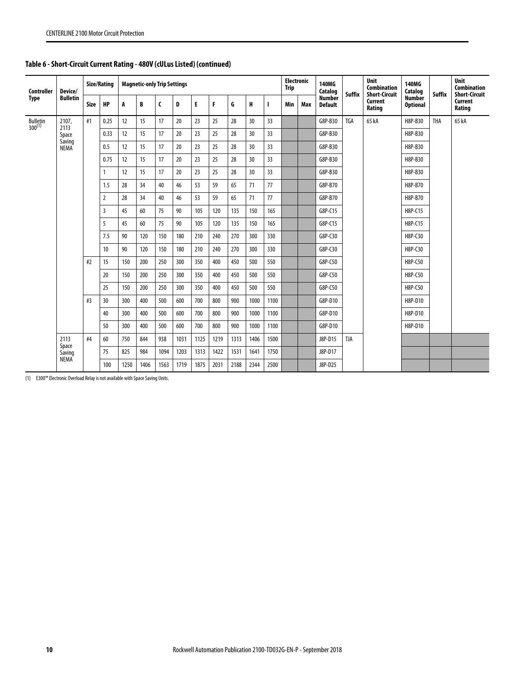| <b>Controller</b><br><b>Type</b> | Device/         |      | Size/Rating    |     | <b>Magnetic-only Trip Settings</b> |              |      |      |      |      |      |      | <b>Electronic</b><br><b>Trip</b> |     | 140MG<br>Catalog                | <b>Suffix</b> | <b>Unit</b><br><b>Combination</b><br><b>Short-Circuit</b> | <b>140MG</b><br>Catalog          | <b>Suffix</b> | Unit<br><b>Combination</b><br><b>Short-Circuit</b> |  |
|----------------------------------|-----------------|------|----------------|-----|------------------------------------|--------------|------|------|------|------|------|------|----------------------------------|-----|---------------------------------|---------------|-----------------------------------------------------------|----------------------------------|---------------|----------------------------------------------------|--|
|                                  | <b>Bulletin</b> | Size | <b>HP</b>      | A   | B                                  | $\mathsf{C}$ | D    | E    | F    | G    | H    | L    | Min                              | Max | <b>Number</b><br><b>Default</b> |               | Current<br>Rating                                         | <b>Number</b><br><b>Optional</b> |               | Current<br>Rating                                  |  |
| <b>Bulletin</b><br>$300^{(1)}$   | 2107,<br>2113   | #1   | 0.25           | 12  | 15                                 | 17           | 20   | 23   | 25   | 28   | 30   | 33   |                                  |     | G8P-B30                         | <b>TGA</b>    | 65 kA                                                     | H8P-B30                          | <b>THA</b>    | 65 kA                                              |  |
|                                  | Space<br>Saving |      | 0.33           | 12  | 15                                 | 17           | 20   | 23   | 25   | 28   | 30   | 33   |                                  |     | G8P-B30                         |               |                                                           | H8P-B30                          |               |                                                    |  |
|                                  | <b>NEMA</b>     |      | 0.5            | 12  | 15                                 | 17           | 20   | 23   | 25   | 28   | 30   | 33   |                                  |     | G8P-B30                         |               |                                                           | H8P-B30                          |               |                                                    |  |
|                                  |                 |      | 0.75           | 12  | 15                                 | 17           | 20   | 23   | 25   | 28   | 30   | 33   |                                  |     | G8P-B30                         |               |                                                           | H8P-B30                          |               |                                                    |  |
|                                  |                 |      | 1              | 12  | 15                                 | 17           | 20   | 23   | 25   | 28   | 30   | 33   |                                  |     | G8P-B30                         |               |                                                           | H8P-B30                          |               |                                                    |  |
|                                  |                 |      | 1.5            | 28  | 34                                 | 40           | 46   | 53   | 59   | 65   | 71   | 77   |                                  |     | G8P-B70                         |               |                                                           | H8P-B70                          |               |                                                    |  |
|                                  |                 |      | $\overline{2}$ | 28  | 34                                 | 40           | 46   | 53   | 59   | 65   | 71   | 77   |                                  |     | G8P-B70                         |               |                                                           | H8P-B70                          |               |                                                    |  |
|                                  |                 |      | $\overline{3}$ | 45  | 60                                 | 75           | 90   | 105  | 120  | 135  | 150  | 165  |                                  |     | G8P-C15                         |               |                                                           | H8P-C15                          |               |                                                    |  |
|                                  |                 |      | 5              | 45  | 60                                 | 75           | 90   | 105  | 120  | 135  | 150  | 165  |                                  |     | G8P-C15                         |               |                                                           | H8P-C15                          |               |                                                    |  |
|                                  |                 |      | 7.5            | 90  | 120                                | 150          | 180  | 210  | 240  | 270  | 300  | 330  |                                  |     | G8P-C30                         |               |                                                           | H8P-C30                          |               |                                                    |  |
|                                  |                 |      | 10             | 90  | 120                                | 150          | 180  | 210  | 240  | 270  | 300  | 330  |                                  |     | G8P-C30                         |               |                                                           | H8P-C30                          |               |                                                    |  |
|                                  |                 | #2   | 15             | 150 | 200                                | 250          | 300  | 350  | 400  | 450  | 500  | 550  |                                  |     | G8P-C50                         |               |                                                           | H8P-C50                          |               |                                                    |  |
|                                  |                 |      | 20             | 150 | 200                                | 250          | 300  | 350  | 400  | 450  | 500  | 550  |                                  |     | G8P-C50                         |               |                                                           | H8P-C50<br>H8P-C50               |               |                                                    |  |
|                                  |                 |      | 25             | 150 | 200                                | 250          | 300  | 350  | 400  | 450  | 500  | 550  |                                  |     | G8P-C50                         |               |                                                           |                                  |               |                                                    |  |
|                                  |                 | #3   | 30             | 300 | 400                                | 500          | 600  | 700  | 800  | 900  | 1000 | 1100 |                                  |     | G8P-D10                         |               |                                                           | H8P-D10                          |               |                                                    |  |
|                                  |                 |      | 40             | 300 | 400                                | 500          | 600  | 700  | 800  | 900  | 1000 | 1100 |                                  |     | G8P-D10                         |               |                                                           | H8P-D10                          |               |                                                    |  |
|                                  |                 |      | 50             | 300 | 400                                | 500          | 600  | 700  | 800  | 900  | 1000 | 1100 |                                  |     | G8P-D10                         |               |                                                           | H8P-D10                          |               |                                                    |  |
|                                  | 2113<br>Space   | #4   | 60             | 750 | 844                                | 938          | 1031 | 1125 | 1219 | 1313 | 1406 | 1500 |                                  |     | J8P-D15                         | <b>TJA</b>    |                                                           |                                  |               |                                                    |  |
|                                  | Saving          |      | 75             | 825 | 984                                | 1094         | 1203 | 1313 | 1422 | 1531 | 1641 | 1750 |                                  |     | J8P-D17                         |               |                                                           |                                  |               |                                                    |  |
|                                  | <b>NEMA</b>     |      |                | 100 | 1250                               | 1406         | 1563 | 1719 | 1875 | 2031 | 2188 | 2344 | 2500                             |     |                                 | J8P-D25       |                                                           |                                  |               |                                                    |  |

(1) E300™ Electronic Overload Relay is not available with Space Saving Units.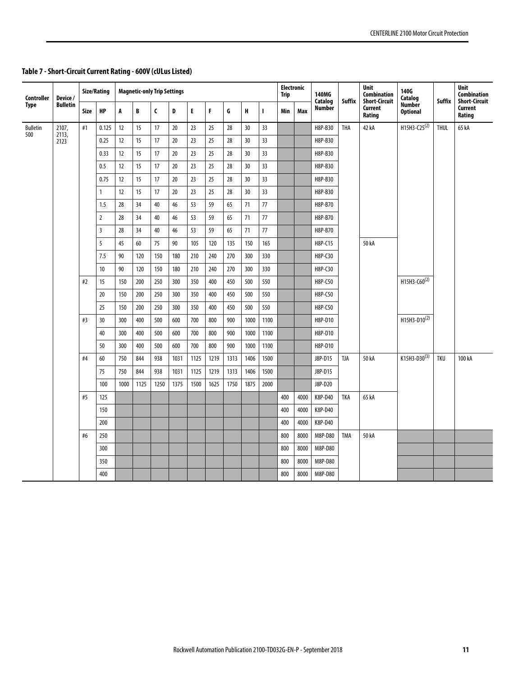| Controller             | Device/         |       | Size/Rating    |      |      | <b>Magnetic-only Trip Settings</b> |      |      |      |      |      |              | Electronic<br><b>Trip</b> |      | <b>140MG</b><br>Catalog | <b>Suffix</b> | Unit<br><b>Combination</b><br><b>Short-Circuit</b> | 140G<br>Catalog                  | <b>Suffix</b> | Unit<br><b>Combination</b><br><b>Short-Circuit</b> |
|------------------------|-----------------|-------|----------------|------|------|------------------------------------|------|------|------|------|------|--------------|---------------------------|------|-------------------------|---------------|----------------------------------------------------|----------------------------------|---------------|----------------------------------------------------|
| <b>Type</b>            | <b>Bulletin</b> | Size  | <b>HP</b>      | A    | B    | C                                  | D    | E.   | F    | G    | н    | $\mathbf{I}$ | Min                       | Max  | <b>Number</b>           |               | Current<br>Rating                                  | <b>Number</b><br><b>Optional</b> |               | Current<br>Rating                                  |
| <b>Bulletin</b><br>500 | 2107,<br>2113,  | $\#1$ | 0.125          | 12   | 15   | 17                                 | 20   | 23   | 25   | 28   | 30   | 33           |                           |      | H8P-B30                 | <b>THA</b>    | 42 kA                                              | $H15H3-C25^{(2)}$                | <b>THUL</b>   | 65 kA                                              |
|                        | 2123            |       | 0.25           | 12   | 15   | 17                                 | 20   | 23   | 25   | 28   | 30   | 33           |                           |      | H8P-B30                 |               |                                                    |                                  |               |                                                    |
|                        |                 |       | 0.33           | 12   | 15   | 17                                 | 20   | 23   | 25   | 28   | 30   | 33           |                           |      | H8P-B30                 |               |                                                    |                                  |               |                                                    |
|                        |                 |       | 0.5            | 12   | 15   | 17                                 | 20   | 23   | 25   | 28   | 30   | 33           |                           |      | H8P-B30                 |               |                                                    |                                  |               |                                                    |
|                        |                 |       | 0.75           | 12   | 15   | 17                                 | 20   | 23   | 25   | 28   | 30   | 33           |                           |      | H8P-B30                 |               |                                                    |                                  |               |                                                    |
|                        |                 |       | 1              | 12   | 15   | 17                                 | 20   | 23   | 25   | 28   | 30   | 33           |                           |      | H8P-B30                 |               |                                                    |                                  |               |                                                    |
|                        |                 |       | 1.5            | 28   | 34   | 40                                 | 46   | 53   | 59   | 65   | 71   | 77           |                           |      | H8P-B70                 |               |                                                    |                                  |               |                                                    |
|                        |                 |       | $\overline{2}$ | 28   | 34   | 40                                 | 46   | 53   | 59   | 65   | 71   | 77           |                           |      | H8P-B70                 |               |                                                    |                                  |               |                                                    |
|                        |                 |       | $\overline{3}$ | 28   | 34   | 40                                 | 46   | 53   | 59   | 65   | 71   | $77$         |                           |      | H8P-B70                 |               |                                                    |                                  |               |                                                    |
|                        |                 |       | 5              | 45   | 60   | 75                                 | 90   | 105  | 120  | 135  | 150  | 165          |                           |      | H8P-C15                 |               | 50 kA                                              |                                  |               |                                                    |
|                        |                 |       | 7.5            | 90   | 120  | 150                                | 180  | 210  | 240  | 270  | 300  | 330          |                           |      | H8P-C30                 |               |                                                    |                                  |               |                                                    |
|                        |                 |       | 10             | 90   | 120  | 150                                | 180  | 210  | 240  | 270  | 300  | 330          |                           |      | H8P-C30                 |               |                                                    |                                  |               |                                                    |
|                        |                 | #2    | 15             | 150  | 200  | 250                                | 300  | 350  | 400  | 450  | 500  | 550          |                           |      | H8P-C50                 |               |                                                    | $H15H3-C60^{(2)}$                |               |                                                    |
|                        |                 |       | 20             | 150  | 200  | 250                                | 300  | 350  | 400  | 450  | 500  | 550          |                           |      | H8P-C50                 |               |                                                    |                                  |               |                                                    |
|                        |                 |       | 25             | 150  | 200  | 250                                | 300  | 350  | 400  | 450  | 500  | 550          |                           |      | H8P-C50                 |               |                                                    |                                  |               |                                                    |
|                        |                 | #3    | 30             | 300  | 400  | 500                                | 600  | 700  | 800  | 900  | 1000 | 1100         |                           |      | H8P-D10                 |               |                                                    | H15H3-D10(2)                     |               |                                                    |
|                        |                 |       | 40             | 300  | 400  | 500                                | 600  | 700  | 800  | 900  | 1000 | 1100         |                           |      | H8P-D10                 |               |                                                    |                                  |               |                                                    |
|                        |                 |       | 50             | 300  | 400  | 500                                | 600  | 700  | 800  | 900  | 1000 | 1100         |                           |      | H8P-D10                 |               |                                                    |                                  |               |                                                    |
|                        |                 | #4    | 60             | 750  | 844  | 938                                | 1031 | 1125 | 1219 | 1313 | 1406 | 1500         |                           |      | J8P-D15                 | TJA           | 50 kA                                              | $K15H3-D30^{(3)}$                | <b>TKU</b>    | 100 kA                                             |
|                        |                 |       | 75             | 750  | 844  | 938                                | 1031 | 1125 | 1219 | 1313 | 1406 | 1500         |                           |      | J8P-D15                 |               |                                                    |                                  |               |                                                    |
|                        |                 |       | 100            | 1000 | 1125 | 1250                               | 1375 | 1500 | 1625 | 1750 | 1875 | 2000         |                           |      | J8P-D20                 |               |                                                    |                                  |               |                                                    |
|                        |                 | #5    | 125            |      |      |                                    |      |      |      |      |      |              | 400                       | 4000 | K8P-D40                 | <b>TKA</b>    | 65 kA                                              |                                  |               |                                                    |
|                        |                 |       | 150            |      |      |                                    |      |      |      |      |      |              | 400                       | 4000 | K8P-D40                 |               |                                                    |                                  |               |                                                    |
|                        |                 |       | 200            |      |      |                                    |      |      |      |      |      |              | 400                       | 4000 | K8P-D40                 |               |                                                    |                                  |               |                                                    |
|                        |                 | #6    | 250            |      |      |                                    |      |      |      |      |      |              | 800                       | 8000 | M8P-D80                 | <b>TMA</b>    | 50 kA                                              |                                  |               |                                                    |
|                        |                 |       | 300            |      |      |                                    |      |      |      |      |      |              | 800                       | 8000 | M8P-D80                 |               |                                                    |                                  |               |                                                    |
|                        |                 |       | 350            |      |      |                                    |      |      |      |      |      |              | 800                       | 8000 | M8P-D80                 |               |                                                    |                                  |               |                                                    |
|                        |                 |       | 400            |      |      |                                    |      |      |      |      |      |              | 800                       | 8000 | M8P-D80                 |               |                                                    |                                  |               |                                                    |

# <span id="page-10-0"></span>**Table 7 - Short-Circuit Current Rating - 600V (cULus Listed)**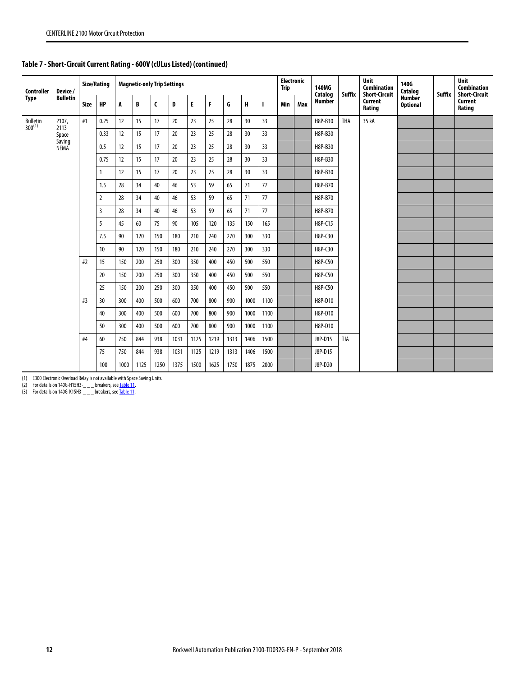#### **Table 7 - Short-Circuit Current Rating - 600V (cULus Listed) (continued)**

| <b>Controller</b>              | Device /              |      | Size/Rating    |      | <b>Magnetic-only Trip Settings</b> |              |      |      |      |      |      |              | <b>Electronic</b><br><b>Trip</b> |     | <b>140MG</b><br>Catalog | <b>Suffix</b> | <b>Unit</b><br><b>Combination</b><br><b>Short-Circuit</b> | 140G<br>Catalog                  | <b>Suffix</b> | <b>Unit</b><br><b>Combination</b><br><b>Short-Circuit</b> |
|--------------------------------|-----------------------|------|----------------|------|------------------------------------|--------------|------|------|------|------|------|--------------|----------------------------------|-----|-------------------------|---------------|-----------------------------------------------------------|----------------------------------|---------------|-----------------------------------------------------------|
| <b>Type</b>                    | <b>Bulletin</b>       | Size | <b>HP</b>      | A    | B                                  | $\mathsf{C}$ | D    | E.   | F    | G    | H    | $\mathbf{I}$ | Min                              | Max | <b>Number</b>           |               | Current<br>Rating                                         | <b>Number</b><br><b>Optional</b> |               | Current<br>Rating                                         |
| <b>Bulletin</b><br>$300^{(1)}$ | 2107,<br>2113         | #1   | 0.25           | 12   | 15                                 | 17           | 20   | 23   | 25   | 28   | 30   | 33           |                                  |     | H8P-B30                 | <b>THA</b>    | 35 kA                                                     |                                  |               |                                                           |
|                                | Space                 |      | 0.33           | 12   | 15                                 | 17           | 20   | 23   | 25   | 28   | 30   | 33           |                                  |     | H8P-B30                 |               |                                                           |                                  |               |                                                           |
|                                | Saving<br><b>NEMA</b> |      | 0.5            | 12   | 15                                 | 17           | 20   | 23   | 25   | 28   | 30   | 33           |                                  |     | H8P-B30                 |               |                                                           |                                  |               |                                                           |
|                                |                       |      | 0.75           | 12   | 15                                 | 17           | 20   | 23   | 25   | 28   | 30   | 33           |                                  |     | H8P-B30                 |               |                                                           |                                  |               |                                                           |
|                                |                       |      | $\mathbf{1}$   | 12   | 15                                 | 17           | 20   | 23   | 25   | 28   | 30   | 33           |                                  |     | H8P-B30                 |               |                                                           |                                  |               |                                                           |
|                                |                       |      | 1.5            | 28   | 34                                 | 40           | 46   | 53   | 59   | 65   | 71   | 77           |                                  |     | H8P-B70                 |               |                                                           |                                  |               |                                                           |
|                                |                       |      | $\overline{2}$ | 28   | 34                                 | 40           | 46   | 53   | 59   | 65   | 71   | 77           |                                  |     | H8P-B70                 |               |                                                           |                                  |               |                                                           |
|                                |                       |      | 3              | 28   | 34                                 | 40           | 46   | 53   | 59   | 65   | 71   | 77           |                                  |     | H8P-B70                 |               |                                                           |                                  |               |                                                           |
|                                |                       |      | 5              | 45   | 60                                 | 75           | 90   | 105  | 120  | 135  | 150  | 165          |                                  |     | H8P-C15                 |               |                                                           |                                  |               |                                                           |
|                                |                       |      | 7.5            | 90   | 120                                | 150          | 180  | 210  | 240  | 270  | 300  | 330          |                                  |     | H8P-C30                 |               |                                                           |                                  |               |                                                           |
|                                |                       |      | 10             | 90   | 120                                | 150          | 180  | 210  | 240  | 270  | 300  | 330          |                                  |     | H8P-C30                 |               |                                                           |                                  |               |                                                           |
|                                |                       | #2   | 15             | 150  | 200                                | 250          | 300  | 350  | 400  | 450  | 500  | 550          |                                  |     | H8P-C50                 |               |                                                           |                                  |               |                                                           |
|                                |                       |      | 20             | 150  | 200                                | 250          | 300  | 350  | 400  | 450  | 500  | 550          |                                  |     | H8P-C50                 |               |                                                           |                                  |               |                                                           |
|                                |                       |      | 25             | 150  | 200                                | 250          | 300  | 350  | 400  | 450  | 500  | 550          |                                  |     | H8P-C50                 |               |                                                           |                                  |               |                                                           |
|                                |                       | #3   | 30             | 300  | 400                                | 500          | 600  | 700  | 800  | 900  | 1000 | 1100         |                                  |     | H8P-D10                 |               |                                                           |                                  |               |                                                           |
|                                |                       |      | 40             | 300  | 400                                | 500          | 600  | 700  | 800  | 900  | 1000 | 1100         |                                  |     | H8P-D10                 |               |                                                           |                                  |               |                                                           |
|                                |                       |      | 50             | 300  | 400                                | 500          | 600  | 700  | 800  | 900  | 1000 | 1100         |                                  |     | H8P-D10                 |               |                                                           |                                  |               |                                                           |
|                                |                       | #4   | 60             | 750  | 844                                | 938          | 1031 | 1125 | 1219 | 1313 | 1406 | 1500         |                                  |     | J8P-D15                 | <b>TJA</b>    |                                                           |                                  |               |                                                           |
|                                |                       |      | 75             | 750  | 844                                | 938          | 1031 | 1125 | 1219 | 1313 | 1406 | 1500         |                                  |     | J8P-D15                 |               |                                                           |                                  |               |                                                           |
|                                |                       |      | 100            | 1000 | 1125                               | 1250         | 1375 | 1500 | 1625 | 1750 | 1875 | 2000         |                                  |     | J8P-D20                 |               |                                                           |                                  |               |                                                           |

(1) E300 Electronic Overload Relay is not available with Space Saving Units.<br>(2) For details on 140G-H15H3-\_\_\_\_ breakers, see <u>Table 11</u>.

(3) For details on 140G-K15H3-\_\_\_ breakers, see Table 11.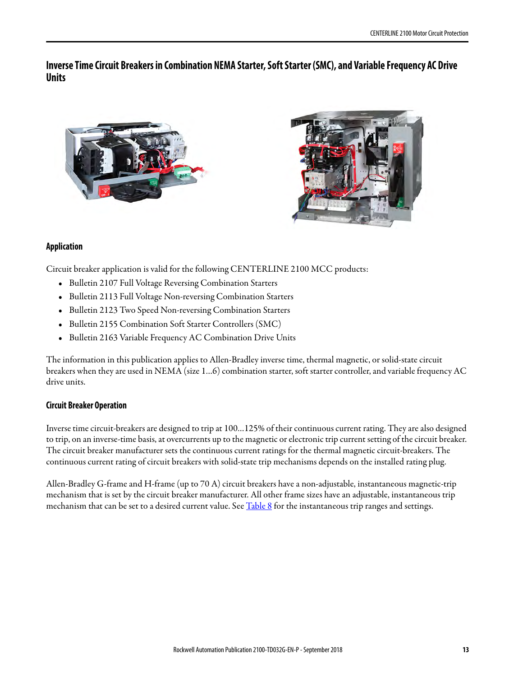<span id="page-12-0"></span>**Inverse Time Circuit Breakers in Combination NEMA Starter, Soft Starter (SMC), and Variable Frequency AC Drive Units**





### <span id="page-12-1"></span>**Application**

Circuit breaker application is valid for the following CENTERLINE 2100 MCC products:

- **•** Bulletin 2107 Full Voltage Reversing Combination Starters
- **•** Bulletin 2113 Full Voltage Non-reversing Combination Starters
- **•** Bulletin 2123 Two Speed Non-reversing Combination Starters
- **•** Bulletin 2155 Combination Soft Starter Controllers (SMC)
- **•** Bulletin 2163 Variable Frequency AC Combination Drive Units

The information in this publication applies to Allen-Bradley inverse time, thermal magnetic, or solid-state circuit breakers when they are used in NEMA (size 1…6) combination starter, soft starter controller, and variable frequency AC drive units.

#### <span id="page-12-2"></span>**Circuit Breaker Operation**

Inverse time circuit-breakers are designed to trip at 100…125% of their continuous current rating. They are also designed to trip, on an inverse-time basis, at overcurrents up to the magnetic or electronic trip current setting of the circuit breaker. The circuit breaker manufacturer sets the continuous current ratings for the thermal magnetic circuit-breakers. The continuous current rating of circuit breakers with solid-state trip mechanisms depends on the installed rating plug.

Allen-Bradley G-frame and H-frame (up to 70 A) circuit breakers have a non-adjustable, instantaneous magnetic-trip mechanism that is set by the circuit breaker manufacturer. All other frame sizes have an adjustable, instantaneous trip mechanism that can be set to a desired current value. See Table 8 for the instantaneous trip ranges and settings.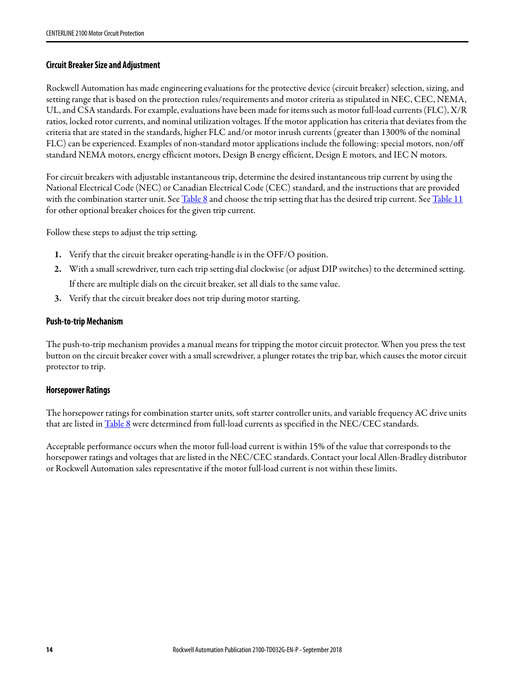#### <span id="page-13-0"></span>**Circuit Breaker Size and Adjustment**

Rockwell Automation has made engineering evaluations for the protective device (circuit breaker) selection, sizing, and setting range that is based on the protection rules/requirements and motor criteria as stipulated in NEC, CEC, NEMA, UL, and CSA standards. For example, evaluations have been made for items such as motor full-load currents (FLC), X/R ratios, locked rotor currents, and nominal utilization voltages. If the motor application has criteria that deviates from the criteria that are stated in the standards, higher FLC and/or motor inrush currents (greater than 1300% of the nominal FLC) can be experienced. Examples of non-standard motor applications include the following: special motors, non/off standard NEMA motors, energy efficient motors, Design B energy efficient, Design E motors, and IEC N motors.

For circuit breakers with adjustable instantaneous trip, determine the desired instantaneous trip current by using the National Electrical Code (NEC) or Canadian Electrical Code (CEC) standard, and the instructions that are provided with the combination starter unit. See Table 8 and choose the trip setting that has the desired trip current. See Table 11 for other optional breaker choices for the given trip current.

Follow these steps to adjust the trip setting.

- **1.** Verify that the circuit breaker operating-handle is in the OFF/O position.
- **2.** With a small screwdriver, turn each trip setting dial clockwise (or adjust DIP switches) to the determined setting. If there are multiple dials on the circuit breaker, set all dials to the same value.
- **3.** Verify that the circuit breaker does not trip during motor starting.

#### <span id="page-13-1"></span>**Push-to-trip Mechanism**

The push-to-trip mechanism provides a manual means for tripping the motor circuit protector. When you press the test button on the circuit breaker cover with a small screwdriver, a plunger rotates the trip bar, which causes the motor circuit protector to trip.

#### <span id="page-13-2"></span>**Horsepower Ratings**

The horsepower ratings for combination starter units, soft starter controller units, and variable frequency AC drive units that are listed in Table 8 were determined from full-load currents as specified in the NEC/CEC standards.

Acceptable performance occurs when the motor full-load current is within 15% of the value that corresponds to the horsepower ratings and voltages that are listed in the NEC/CEC standards. Contact your local Allen-Bradley distributor or Rockwell Automation sales representative if the motor full-load current is not within these limits.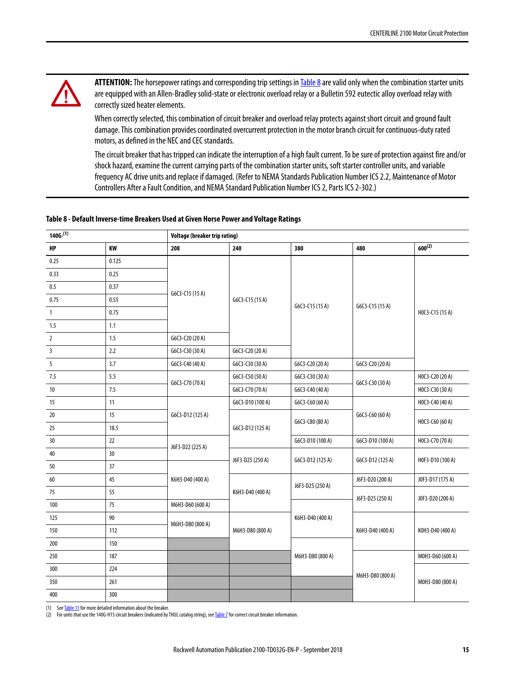

**ATTENTION:** The horsepower ratings and corresponding trip settings in Table 8 are valid only when the combination starter units are equipped with an Allen-Bradley solid-state or electronic overload relay or a Bulletin 592 eutectic alloy overload relay with correctly sized heater elements.

When correctly selected, this combination of circuit breaker and overload relay protects against short circuit and ground fault damage. This combination provides coordinated overcurrent protection in the motor branch circuit for continuous-duty rated motors, as defined in the NEC and CEC standards.

The circuit breaker that has tripped can indicate the interruption of a high fault current. To be sure of protection against fire and/or shock hazard, examine the current carrying parts of the combination starter units, soft starter controller units, and variable frequency AC drive units and replace if damaged. (Refer to NEMA Standards Publication Number ICS 2.2, Maintenance of Motor Controllers After a Fault Condition, and NEMA Standard Publication Number ICS 2, Parts ICS 2-302.)

#### **Table 8 - Default Inverse-time Breakers Used at Given Horse Power and Voltage Ratings**

| $140G^{(1)}$            |        | <b>Voltage (breaker trip rating)</b> |                  |                  |                  |                  |  |
|-------------------------|--------|--------------------------------------|------------------|------------------|------------------|------------------|--|
| HP                      | KW     | 240<br>208<br>380                    |                  | 480              | $600^{(2)}$      |                  |  |
| 0.25                    | 0.125  |                                      |                  |                  |                  |                  |  |
| 0.33                    | 0.25   |                                      |                  |                  |                  |                  |  |
| $0.5\,$                 | 0.37   | G6C3-C15 (15 A)                      |                  |                  |                  |                  |  |
| 0.75                    | 0.55   |                                      | G6C3-C15 (15 A)  | G6C3-C15 (15 A)  | G6C3-C15 (15 A)  |                  |  |
| $\overline{1}$          | 0.75   |                                      |                  |                  |                  | HOC3-C15 (15 A)  |  |
| 1.5                     | 1.1    |                                      |                  |                  |                  |                  |  |
| $\overline{2}$          | 1.5    | G6C3-C20 (20 A)                      |                  |                  |                  |                  |  |
| $\overline{\mathbf{3}}$ | 2.2    | G6C3-C30 (30 A)                      | G6C3-C20 (20 A)  |                  |                  |                  |  |
| 5                       | 3.7    | G6C3-C40 (40 A)                      | G6C3-C30 (30 A)  | G6C3-C20 (20 A)  | G6C3-C20 (20 A)  |                  |  |
| 7.5                     | 5.5    | G6C3-C70 (70 A)                      | G6C3-C50 (50 A)  | G6C3-C30 (30 A)  | G6C3-C30 (30 A)  | HOC3-C20 (20 A)  |  |
| 10                      | 7.5    |                                      | G6C3-C70 (70 A)  | G6C3-C40 (40 A)  |                  | HOC3-C30 (30 A)  |  |
| 15                      | 11     |                                      | G6C3-D10 (100 A) | G6C3-C60 (60 A)  |                  | HOC3-C40 (40 A)  |  |
| 20                      | 15     | G6C3-D12 (125 A)                     |                  | G6C3-C80 (80 A)  | G6C3-C60 (60 A)  | HOC3-C60 (60 A)  |  |
| 25                      | 18.5   |                                      | G6C3-D12 (125 A) |                  |                  |                  |  |
| 30                      | 22     | J6F3-D22 (225 A)                     |                  | G6C3-D10 (100 A) | G6C3-D10 (100 A) | H0C3-C70 (70 A)  |  |
| 40                      | 30     |                                      |                  | G6C3-D12 (125 A) |                  |                  |  |
| 50                      | 37     |                                      | J6F3-D25 (250 A) |                  | G6C3-D12 (125 A) | H0F3-D10 (100 A) |  |
| 60                      | 45     | K6H3-D40 (400 A)                     |                  | J6F3-D25 (250 A) | J6F3-D20 (200 A) | J0F3-D17 (175 A) |  |
| 75                      | 55     |                                      | K6H3-D40 (400 A) |                  | J6F3-D25 (250 A) | J0F3-D20 (200 A) |  |
| 100                     | 75     | M6H3-D60 (600 A)                     |                  |                  |                  |                  |  |
| 125                     | $90\,$ |                                      |                  | K6H3-D40 (400 A) |                  |                  |  |
| 150                     | 112    | M6H3-D80 (800 A)                     | M6H3-D80 (800 A) |                  | K6H3-D40 (400 A) | K0H3-D40 (400 A) |  |
| 200                     | 150    |                                      |                  |                  |                  |                  |  |
| 250                     | 187    |                                      |                  | M6H3-D80 (800 A) |                  | M0H3-D60 (600 A) |  |
| 300                     | 224    |                                      |                  |                  |                  |                  |  |
| 350                     | 261    |                                      |                  |                  | M6H3-D80 (800 A) | M0H3-D80 (800 A) |  |
| 400                     | 300    |                                      |                  |                  |                  |                  |  |

(1) See Table 11 for more detailed information about the breaker.

(2) For units that use the 140G-H15 circuit breakers (indicated by THUL catalog string), see [Table 7](#page-10-0) for correct circuit breaker information.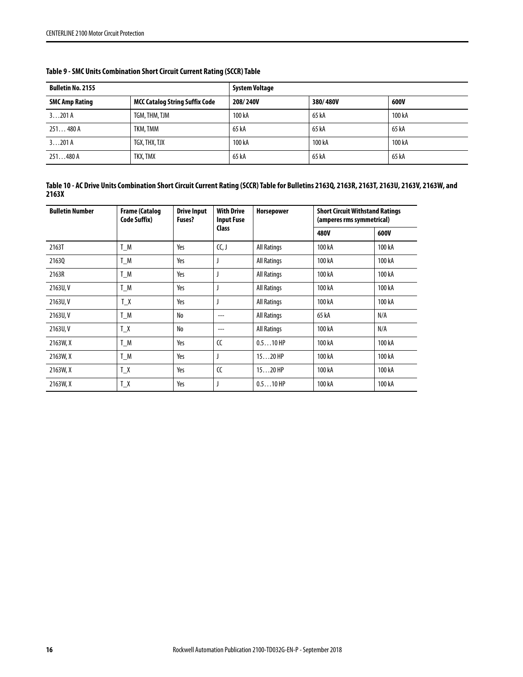| <b>Bulletin No. 2155</b> |                                       | <b>System Voltage</b> |          |        |  |  |  |  |
|--------------------------|---------------------------------------|-----------------------|----------|--------|--|--|--|--|
| <b>SMC Amp Rating</b>    | <b>MCC Catalog String Suffix Code</b> | 208/240V              | 380/480V | 600V   |  |  |  |  |
| 3201A                    | TGM, THM, TJM                         | 100 kA                | 65 kA    | 100 kA |  |  |  |  |
| 251480A                  | TKM, TMM                              | 65 kA                 | 65 kA    | 65 kA  |  |  |  |  |
| 3201A                    | TGX, THX, TJX                         | 100 kA                | 100 kA   | 100 kA |  |  |  |  |
| 251480A                  | TKX, TMX                              | 65 kA                 | 65 kA    | 65 kA  |  |  |  |  |

# <span id="page-15-0"></span>**Table 9 - SMC Units Combination Short Circuit Current Rating (SCCR) Table**

<span id="page-15-1"></span>

| Table 10 - AC Drive Units Combination Short Circuit Current Rating (SCCR) Table for Bulletins 2163Q, 2163R, 2163T, 2163U, 2163V, 2163W, and |  |
|---------------------------------------------------------------------------------------------------------------------------------------------|--|
| 2163X                                                                                                                                       |  |

| <b>Bulletin Number</b> | <b>Frame (Catalog</b><br>Code Suffix) | <b>Drive Input</b><br>Fuses? | <b>With Drive</b><br><b>Input Fuse</b> | <b>Horsepower</b>  | <b>Short Circuit Withstand Ratings</b><br>(amperes rms symmetrical) |        |  |  |
|------------------------|---------------------------------------|------------------------------|----------------------------------------|--------------------|---------------------------------------------------------------------|--------|--|--|
|                        |                                       |                              | <b>Class</b>                           |                    | 480V                                                                | 600V   |  |  |
| 2163T                  | $T_M$                                 | Yes                          | (C, J)                                 | <b>All Ratings</b> | 100 kA                                                              | 100 kA |  |  |
| 21630                  | T_M                                   | Yes                          |                                        | <b>All Ratings</b> | 100 kA                                                              | 100 kA |  |  |
| 2163R                  | T M                                   | Yes                          | $\overline{\phantom{a}}$               | <b>All Ratings</b> | 100 kA                                                              | 100 kA |  |  |
| 2163U, V               | $T_M$                                 | Yes                          |                                        | <b>All Ratings</b> | 100 kA                                                              | 100 kA |  |  |
| 2163U, V               | T X                                   | Yes                          |                                        | <b>All Ratings</b> | 100 kA                                                              | 100 kA |  |  |
| 2163U.V                | T_M                                   | No                           | ---                                    | <b>All Ratings</b> | 65 kA                                                               | N/A    |  |  |
| 2163U, V               | T X                                   | No                           | ---                                    | <b>All Ratings</b> | 100 kA                                                              | N/A    |  |  |
| 2163W, X               | T_M                                   | Yes                          | $\alpha$                               | $0.510$ HP         | 100 kA                                                              | 100 kA |  |  |
| 2163W, X               | $T_M$                                 | Yes                          |                                        | $1520$ HP          | 100 kA                                                              | 100 kA |  |  |
| 2163W, X               | T X                                   | Yes                          | $\alpha$                               | $1520$ HP          | 100 kA                                                              | 100 kA |  |  |
| 2163W, X               | $T_X$                                 | Yes                          |                                        | $0.510$ HP         | 100 kA                                                              | 100 kA |  |  |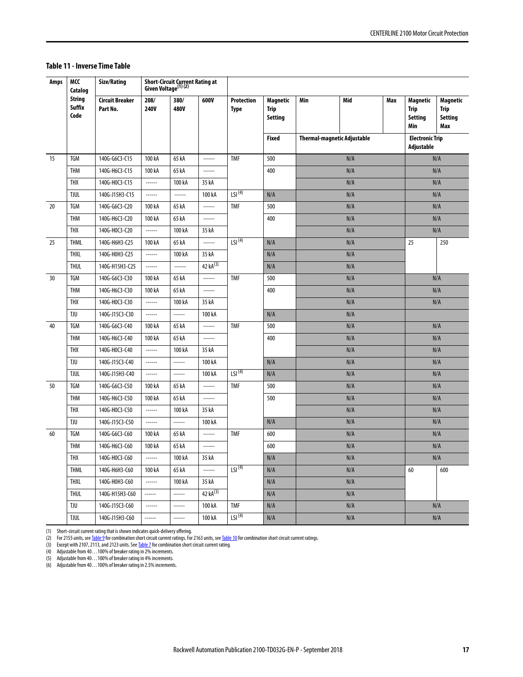#### **Table 11 - Inverse Time Table**

| Amps | MCC<br>Catalog                                        | Size/Rating                        | Short-Circuit Current Rating at<br>Given Voltage <sup>(1)</sup> (2) |                     |               |                           |                                           |                         |                             |     |                                                         |                                                         |
|------|-------------------------------------------------------|------------------------------------|---------------------------------------------------------------------|---------------------|---------------|---------------------------|-------------------------------------------|-------------------------|-----------------------------|-----|---------------------------------------------------------|---------------------------------------------------------|
|      | <b>String</b><br>Suffix<br>Code                       | <b>Circuit Breaker</b><br>Part No. | 208/<br><b>240V</b>                                                 | 380/<br><b>480V</b> | 600V          | <b>Protection</b><br>Type | <b>Magnetic</b><br><b>Trip</b><br>Setting | Min                     | Mid                         | Max | <b>Magnetic</b><br><b>Trip</b><br><b>Setting</b><br>Min | <b>Magnetic</b><br><b>Trip</b><br><b>Setting</b><br>Max |
|      |                                                       |                                    |                                                                     |                     |               |                           | Fixed                                     |                         | Thermal-magnetic Adjustable |     | <b>Electronic Trip</b><br>Adjustable                    |                                                         |
| 15   | TGM                                                   | 140G-G6C3-C15                      | 100 kA                                                              | 65 kA               | ------        | <b>TMF</b>                | 500                                       |                         | N/A                         |     | N/A                                                     |                                                         |
|      | <b>THM</b>                                            | 140G-H6C3-C15                      | 100 kA                                                              | 65 kA               | ------        |                           | 400                                       |                         | N/A                         |     |                                                         | N/A                                                     |
|      | <b>THX</b>                                            | 140G-H0C3-C15                      | ------                                                              | 100 kA              | 35 kA         |                           |                                           |                         | N/A                         |     |                                                         | N/A                                                     |
|      | <b>TJUL</b>                                           | 140G-J15H3-C15                     | ------                                                              | $-----$             | 100 kA        | LSI <sup>(4)</sup>        | N/A                                       |                         | N/A                         |     |                                                         | N/A                                                     |
| 20   | TGM                                                   | 140G-G6C3-C20                      | 100 kA                                                              | 65 kA               | ------        | <b>TMF</b>                | 500                                       |                         | N/A                         |     |                                                         | N/A                                                     |
|      | THM                                                   | 140G-H6C3-C20                      | 100 kA                                                              | 65 kA               | ------        |                           | 400                                       |                         | N/A                         |     |                                                         | N/A                                                     |
|      | <b>THX</b>                                            | 140G-H0C3-C20                      | ------                                                              | 100 kA              | 35 kA         |                           |                                           |                         | N/A                         |     |                                                         | N/A                                                     |
| 25   | <b>THML</b>                                           | 140G-H6H3-C25                      | 100 kA                                                              | 65 kA               | ------        | LSI <sup>(4)</sup>        | N/A                                       |                         | N/A                         |     | 25                                                      | 250                                                     |
|      | <b>THXL</b>                                           | 140G-H0H3-C25                      | ------                                                              | 100 kA              | 35 kA         |                           | N/A                                       |                         | N/A                         |     |                                                         |                                                         |
|      | <b>THUL</b>                                           | 140G-H15H3-C25                     | ------                                                              | $-----$             | 42 $kA^{(3)}$ |                           | N/A                                       |                         | N/A                         |     |                                                         |                                                         |
| 30   | TGM                                                   | 140G-G6C3-C30                      | 100 kA                                                              | 65 kA               | ------        | <b>TMF</b>                | 500                                       |                         | N/A                         |     |                                                         | N/A                                                     |
|      | THM                                                   | 140G-H6C3-C30                      | 100 kA                                                              | 65 kA               | ------        |                           | 400                                       |                         | N/A                         |     |                                                         | N/A                                                     |
|      | <b>THX</b>                                            | 140G-H0C3-C30                      | ------                                                              | 100 kA              | 35 kA         |                           |                                           |                         | N/A                         |     |                                                         | N/A                                                     |
|      | TJU                                                   | 140G-J15C3-C30                     | ------                                                              | ------              | 100 kA        |                           | N/A                                       | N/A                     |                             |     |                                                         |                                                         |
| 40   | <b>TGM</b>                                            | 140G-G6C3-C40                      | 100 kA                                                              | 65 kA               | ------        | <b>TMF</b>                | 500                                       |                         | N/A                         |     |                                                         | N/A                                                     |
|      | <b>THM</b>                                            | 140G-H6C3-C40                      | 100 kA                                                              | 65 kA               | ------        |                           | 400                                       |                         | N/A                         |     |                                                         | N/A                                                     |
|      | <b>THX</b>                                            | 140G-H0C3-C40                      | $^{***}$                                                            | 100 kA              | 35 kA         |                           |                                           |                         | N/A                         |     |                                                         | N/A                                                     |
|      | <b>TJU</b>                                            | 140G-J15C3-C40                     | ------                                                              | ------              | 100 kA        |                           | N/A                                       |                         | N/A                         |     |                                                         | N/A                                                     |
|      | <b>TJUL</b>                                           | 140G-J15H3-C40                     | ------                                                              | ------              | 100 kA        | LSI <sup>(4)</sup>        | N/A                                       |                         | N/A                         |     |                                                         | N/A                                                     |
| 50   | TGM                                                   | 140G-G6C3-C50                      | 100 kA                                                              | 65 kA               | ------        | <b>TMF</b>                | 500                                       |                         | N/A                         |     |                                                         | N/A                                                     |
|      | <b>THM</b>                                            | 140G-H6C3-C50                      | 100 kA                                                              | 65 kA               | ------        |                           | 500                                       |                         | N/A                         |     |                                                         | N/A                                                     |
|      | <b>THX</b>                                            | 140G-H0C3-C50                      | ------                                                              | 100 kA              | 35 kA         |                           |                                           |                         | N/A                         |     |                                                         | N/A                                                     |
|      | TJU                                                   | 140G-J15C3-C50                     | ------                                                              | ------              | 100 kA        |                           | N/A                                       |                         | N/A                         |     |                                                         | N/A                                                     |
| 60   | TGM                                                   | 140G-G6C3-C60                      | 100 kA                                                              | 65 kA               | ------        | <b>TMF</b>                | 600                                       | N/A                     |                             |     | N/A                                                     |                                                         |
|      | THM                                                   | 140G-H6C3-C60                      | 100 kA                                                              | 65 kA               | ------        |                           | 600                                       | N/A                     |                             |     | N/A                                                     |                                                         |
|      | $\ensuremath{\mathsf{T}\textnormal{H}\textnormal{X}}$ | 140G-H0C3-C60                      |                                                                     | 100 kA              | 35 kA         |                           | $\mathsf{N}/\mathsf{A}$                   | $\mathsf{N}/\mathsf{A}$ |                             |     | $\mathsf{N}/\mathsf{A}$                                 |                                                         |
|      | THML                                                  | 140G-H6H3-C60                      | 100 kA                                                              | 65 kA               | ------        | LSI <sup>(4)</sup>        | N/A                                       |                         | N/A                         |     | 60                                                      | 600                                                     |
|      | <b>THXL</b>                                           | 140G-H0H3-C60                      | $-----$                                                             | 100 kA              | 35 kA         |                           | N/A                                       | N/A                     |                             |     |                                                         |                                                         |
|      | <b>THUL</b>                                           | 140G-H15H3-C60                     | $-----$                                                             | ------              | $42 kA^{(3)}$ |                           | N/A                                       |                         | N/A                         |     |                                                         |                                                         |
|      | TJU                                                   | 140G-J15C3-C60                     | ------                                                              | ------              | 100 kA        | <b>TMF</b>                | N/A                                       |                         | N/A                         |     |                                                         | N/A                                                     |
|      | <b>TJUL</b>                                           | 140G-J15H3-C60                     | $-----$                                                             | ------              | 100 kA        | LSI <sup>(4)</sup>        | N/A                                       |                         | N/A                         |     |                                                         | N/A                                                     |

(1) Short-circuit current rating that is shown indicates quick-delivery offering.

(2) For 2155 units, see <u>Table 9</u> for combination short circuit current ratings. For 2163 units, see <u>Table 10</u> for combination short circuit current ratings.

<span id="page-16-1"></span>(3) Except with 2107, 2113, and 2123 units. See <u>[Table 7](#page-10-0)</u> for combination short circuit current rating.<br>(4) Adjustable from 40…100% of breaker rating in 2% increments.

<span id="page-16-0"></span>

(5) Adjustable from 40…100% of breaker rating in 4% increments. (6) Adjustable from 40…100% of breaker rating in 2.5% increments.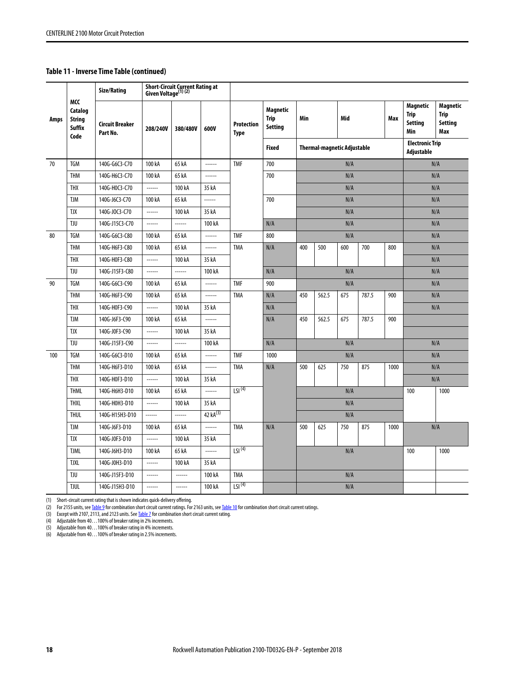#### **Table 11 - Inverse Time Table (continued)**

|             |                                                   | Short-Circuit Current Rating at<br>Given Voltage <sup>(1)</sup> (2)<br>Size/Rating<br>МCC |          |          |                   |                           |                                                  |            |                             |     |       |      |                                                         |                                           |  |
|-------------|---------------------------------------------------|-------------------------------------------------------------------------------------------|----------|----------|-------------------|---------------------------|--------------------------------------------------|------------|-----------------------------|-----|-------|------|---------------------------------------------------------|-------------------------------------------|--|
| <b>Amps</b> | Catalog<br><b>String</b><br><b>Suffix</b><br>Code | <b>Circuit Breaker</b><br>Part No.                                                        | 208/240V | 380/480V | 600V              | <b>Protection</b><br>Type | <b>Magnetic</b><br><b>Trip</b><br><b>Setting</b> | Min<br>Mid |                             |     |       | Max  | <b>Magnetic</b><br><b>Trip</b><br><b>Setting</b><br>Min | Magnetic<br><b>Trip</b><br>Setting<br>Max |  |
|             |                                                   |                                                                                           |          |          |                   |                           | <b>Fixed</b>                                     |            | Thermal-magnetic Adjustable |     |       |      |                                                         | <b>Electronic Trip</b><br>Adjustable      |  |
| 70          | <b>TGM</b>                                        | 140G-G6C3-C70                                                                             | 100 kA   | 65 kA    |                   | <b>TMF</b>                | 700                                              |            |                             | N/A |       |      | N/A                                                     |                                           |  |
|             | <b>THM</b>                                        | 140G-H6C3-C70                                                                             | 100 kA   | 65 kA    | $\frac{1}{2}$     |                           | 700                                              |            |                             | N/A |       |      |                                                         | N/A                                       |  |
|             | <b>THX</b>                                        | 140G-H0C3-C70                                                                             | ------   | 100 kA   | 35 kA             |                           |                                                  |            |                             | N/A |       |      |                                                         | N/A                                       |  |
|             | <b>TJM</b>                                        | 140G-J6C3-C70                                                                             | 100 kA   | 65 kA    | $-----1$          |                           | 700                                              |            |                             | N/A |       |      |                                                         | N/A                                       |  |
|             | <b>TJX</b>                                        | 140G-JOC3-C70                                                                             | ------   | 100 kA   | 35 kA             |                           |                                                  |            |                             | N/A |       |      |                                                         | N/A                                       |  |
|             | <b>TJU</b>                                        | 140G-J15C3-C70                                                                            | ------   | ------   | 100 kA            |                           | N/A                                              |            |                             | N/A |       |      |                                                         | N/A                                       |  |
| 80          | <b>TGM</b>                                        | 140G-G6C3-C80                                                                             | 100 kA   | 65 kA    | $100 - 100 - 100$ | <b>TMF</b>                | 800                                              |            |                             | N/A |       |      |                                                         | N/A                                       |  |
|             | <b>THM</b>                                        | 140G-H6F3-C80                                                                             | 100 kA   | 65 kA    | $--- -$           | <b>TMA</b>                | N/A                                              | 400        | 500                         | 600 | 700   | 800  |                                                         | N/A                                       |  |
|             | <b>THX</b>                                        | 140G-H0F3-C80                                                                             | ------   | 100 kA   | 35 kA             |                           |                                                  |            |                             |     |       |      |                                                         | N/A                                       |  |
|             | <b>TJU</b>                                        | 140G-J15F3-C80                                                                            | ------   | ------   | 100 kA            |                           | N/A                                              |            |                             | N/A |       |      |                                                         | N/A                                       |  |
| 90          | <b>TGM</b>                                        | 140G-G6C3-C90                                                                             | 100 kA   | 65 kA    |                   | <b>TMF</b>                | 900                                              |            |                             | N/A |       |      |                                                         | N/A                                       |  |
|             | <b>THM</b>                                        | 140G-H6F3-C90                                                                             | 100 kA   | 65 kA    |                   | <b>TMA</b>                | N/A                                              | 450        | 562.5                       | 675 | 787.5 | 900  |                                                         | N/A                                       |  |
|             | <b>THX</b>                                        | 140G-H0F3-C90                                                                             | ------   | 100 kA   | 35 kA             |                           | N/A                                              |            |                             |     |       |      |                                                         | N/A                                       |  |
|             | <b>TJM</b>                                        | 140G-J6F3-C90                                                                             | 100 kA   | 65 kA    | $--- - -$         |                           | N/A                                              | 450        | 562.5                       | 675 | 787.5 | 900  |                                                         |                                           |  |
|             | <b>TJX</b>                                        | 140G-J0F3-C90                                                                             | ------   | 100 kA   | 35 kA             |                           |                                                  |            |                             |     |       |      |                                                         |                                           |  |
|             | <b>TJU</b>                                        | 140G-J15F3-C90                                                                            | ------   | ------   | 100 kA            |                           | N/A                                              |            |                             | N/A |       |      |                                                         | N/A                                       |  |
| 100         | <b>TGM</b>                                        | 140G-G6C3-D10                                                                             | 100 kA   | 65 kA    |                   | <b>TMF</b>                | 1000                                             |            |                             | N/A |       |      |                                                         | N/A                                       |  |
|             | <b>THM</b>                                        | 140G-H6F3-D10                                                                             | 100 kA   | 65 kA    | $\frac{1}{2}$     | <b>TMA</b>                | N/A                                              | 500        | 625                         | 750 | 875   | 1000 |                                                         | N/A                                       |  |
|             | <b>THX</b>                                        | 140G-H0F3-D10                                                                             | $\cdots$ | 100 kA   | 35 kA             |                           |                                                  |            |                             |     |       |      |                                                         | N/A                                       |  |
|             | <b>THML</b>                                       | 140G-H6H3-D10                                                                             | 100 kA   | 65 kA    | ------            | LSI <sup>(4)</sup>        |                                                  |            |                             | N/A |       |      | 100                                                     | 1000                                      |  |
|             | <b>THXL</b>                                       | 140G-H0H3-D10                                                                             | ------   | 100 kA   | 35 kA             |                           |                                                  |            |                             | N/A |       |      |                                                         |                                           |  |
|             | <b>THUL</b>                                       | 140G-H15H3-D10                                                                            | ------   | ------   | 42 kA $(3)$       |                           |                                                  |            |                             | N/A |       |      |                                                         |                                           |  |
|             | <b>TJM</b>                                        | 140G-J6F3-D10                                                                             | 100 kA   | 65 kA    |                   | <b>TMA</b>                | N/A                                              | 500        | 625                         | 750 | 875   | 1000 |                                                         | N/A                                       |  |
|             | <b>TJX</b>                                        | 140G-J0F3-D10                                                                             | ------   | 100 kA   | 35 kA             |                           |                                                  |            |                             |     |       |      |                                                         |                                           |  |
|             | <b>TJML</b>                                       | 140G-J6H3-D10                                                                             | 100 kA   | 65 kA    | ------            | LSI <sup>(4)</sup>        |                                                  |            |                             | N/A |       |      | 100                                                     | 1000                                      |  |
|             | <b>TJXL</b>                                       | 140G-J0H3-D10                                                                             | ------   | 100 kA   | 35 kA             |                           |                                                  |            |                             |     |       |      |                                                         |                                           |  |
|             | <b>TJU</b>                                        | 140G-J15F3-D10                                                                            | ------   | ------   | 100 kA            | <b>TMA</b>                |                                                  |            |                             | N/A |       |      |                                                         |                                           |  |
|             | <b>TJUL</b>                                       | 140G-J15H3-D10                                                                            | ------   | ------   | 100 kA            | LSI <sup>(4)</sup>        |                                                  | N/A        |                             |     |       |      |                                                         |                                           |  |

(1) Short-circuit current rating that is shown indicates quick-delivery offering.

(2) For 2155 units, see <u>Table 9</u> for combination short circuit current ratings. For 2163 units, see <u>Table 10</u> for combination short circuit current ratings.

(3) Except with 2107, 2113, and 2123 units. See <u>[Table 7](#page-10-0)</u> for combination short circuit current rating.<br>(4) Adjustable from 40…100% of breaker rating in 2% increments.

(5) Adjustable from 40…100% of breaker rating in 4% increments.

(6) Adjustable from 40…100% of breaker rating in 2.5% increments.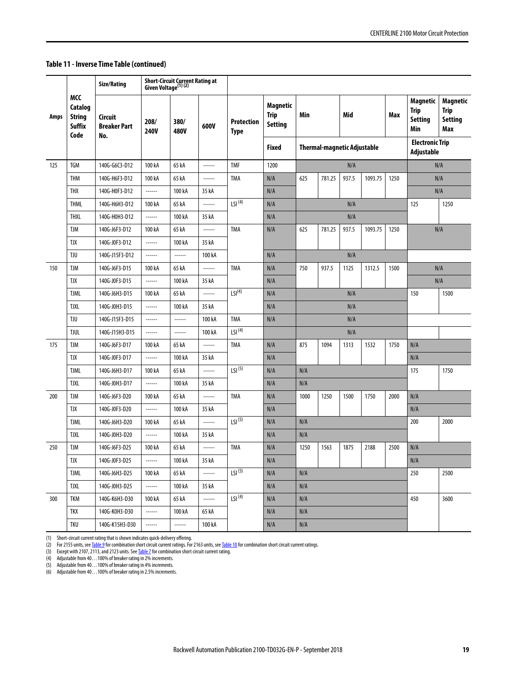#### <span id="page-18-0"></span>**Table 11 - Inverse Time Table (continued)**

|      |                                                                 | Size/Rating                                  |                     | Short-Circuit Current Rating at<br>Given Voltage <sup>(1)</sup> (2) |        |                                  |                                                  |            |                                    |       |         |      |                                                         |                                                  |
|------|-----------------------------------------------------------------|----------------------------------------------|---------------------|---------------------------------------------------------------------|--------|----------------------------------|--------------------------------------------------|------------|------------------------------------|-------|---------|------|---------------------------------------------------------|--------------------------------------------------|
| Amps | <b>MCC</b><br>Catalog<br><b>String</b><br><b>Suffix</b><br>Code | <b>Circuit</b><br><b>Breaker Part</b><br>No. | 208/<br><b>240V</b> | 380/<br>480V                                                        | 600V   | <b>Protection</b><br><b>Type</b> | <b>Magnetic</b><br><b>Trip</b><br><b>Setting</b> | Min        |                                    |       |         | Max  | <b>Magnetic</b><br><b>Trip</b><br><b>Setting</b><br>Min | Magnetic<br><b>Trip</b><br><b>Setting</b><br>Max |
|      |                                                                 |                                              |                     |                                                                     |        |                                  | Fixed                                            |            | <b>Thermal-magnetic Adjustable</b> |       |         |      | <b>Electronic Trip</b><br>Adjustable                    |                                                  |
| 125  | <b>TGM</b>                                                      | 140G-G6C3-D12                                | 100 kA              | 65 kA                                                               | ------ | <b>TMF</b>                       | 1200                                             |            |                                    | N/A   |         |      |                                                         | N/A                                              |
|      | <b>THM</b>                                                      | 140G-H6F3-D12                                | 100 kA              | 65 kA                                                               | ------ | <b>TMA</b>                       | N/A                                              | 625        | 781.25                             | 937.5 | 1093.75 | 1250 |                                                         | N/A                                              |
|      | <b>THX</b>                                                      | 140G-H0F3-D12                                | ------              | 100 kA                                                              | 35 kA  |                                  | N/A                                              |            |                                    |       |         |      |                                                         | N/A                                              |
|      | <b>THML</b>                                                     | 140G-H6H3-D12                                | 100 kA              | 65 kA                                                               | ------ | LSI <sup>(4)</sup>               | N/A                                              |            |                                    | N/A   |         |      | 125                                                     | 1250                                             |
|      | <b>THXL</b>                                                     | 140G-H0H3-D12                                | ------              | 100 kA                                                              | 35 kA  |                                  | N/A                                              |            |                                    | N/A   |         |      |                                                         |                                                  |
|      | <b>TJM</b>                                                      | 140G-J6F3-D12                                | 100 kA              | 65 kA                                                               | ------ | <b>TMA</b>                       | N/A                                              | 625        | 781.25                             | 937.5 | 1093.75 | 1250 |                                                         | N/A                                              |
|      | TJX                                                             | 140G-J0F3-D12                                | ------              | 100 kA                                                              | 35 kA  |                                  |                                                  |            |                                    |       |         |      |                                                         |                                                  |
|      | TJU                                                             | 140G-J15F3-D12                               | ------              | ------                                                              | 100 kA |                                  | N/A                                              |            |                                    | N/A   |         |      |                                                         |                                                  |
| 150  | <b>TJM</b>                                                      | 140G-J6F3-D15                                | 100 kA              | 65 kA                                                               | ------ | <b>TMA</b>                       | N/A                                              | 750        | 937.5                              | 1125  | 1312.5  | 1500 |                                                         | N/A                                              |
|      | TJX                                                             | 140G-J0F3-D15                                | ------              | 100 kA                                                              | 35 kA  |                                  | N/A                                              |            |                                    |       |         |      |                                                         | N/A                                              |
|      | <b>TJML</b>                                                     | 140G-J6H3-D15                                | 100 kA              | 65 kA                                                               | ------ | $LSI^{(4)}$                      | N/A                                              |            |                                    | N/A   |         |      | 150                                                     | 1500                                             |
|      | <b>TJXL</b>                                                     | 140G-J0H3-D15                                | ------              | 100 kA                                                              | 35 kA  |                                  | N/A                                              |            |                                    | N/A   |         |      |                                                         |                                                  |
|      | TJU                                                             | 140G-J15F3-D15                               | ------              | ------                                                              | 100 kA | <b>TMA</b>                       | N/A                                              |            |                                    | N/A   |         |      |                                                         |                                                  |
|      | <b>TJUL</b>                                                     | 140G-J15H3-D15                               | ------              | ------                                                              | 100 kA | LSI <sup>(4)</sup>               |                                                  |            |                                    | N/A   |         |      |                                                         |                                                  |
| 175  | <b>TJM</b>                                                      | 140G-J6F3-D17                                | 100 kA              | 65 kA                                                               | ------ | <b>TMA</b>                       | N/A                                              | 875        | 1094                               | 1313  | 1532    | 1750 | N/A                                                     |                                                  |
|      | <b>TJX</b>                                                      | 140G-J0F3-D17                                | ------              | 100 kA                                                              | 35 kA  |                                  | N/A                                              |            |                                    |       |         |      | N/A                                                     |                                                  |
|      | <b>TJML</b>                                                     | 140G-J6H3-D17                                | 100 kA              | 65 kA                                                               | ------ | $LSI^{(5)}$                      | N/A                                              | N/A        |                                    |       |         |      | 175                                                     | 1750                                             |
|      | <b>TJXL</b>                                                     | 140G-J0H3-D17                                | ------              | 100 kA                                                              | 35 kA  |                                  | N/A                                              | N/A        |                                    |       |         |      |                                                         |                                                  |
| 200  | <b>TJM</b>                                                      | 140G-J6F3-D20                                | 100 kA              | 65 kA                                                               | ------ | <b>TMA</b>                       | N/A                                              | 1000       | 1250                               | 1500  | 1750    | 2000 | N/A                                                     |                                                  |
|      | <b>TJX</b>                                                      | 140G-J0F3-D20                                | ------              | 100 kA                                                              | 35 kA  |                                  | N/A                                              |            |                                    |       |         |      | N/A                                                     |                                                  |
|      | <b>TJML</b>                                                     | 140G-J6H3-D20                                | 100 kA              | 65 kA                                                               | ------ | $LSI^{(5)}$                      | N/A                                              | N/A        |                                    |       |         |      | 200                                                     | 2000                                             |
|      | <b>TJXL</b>                                                     | 140G-J0H3-D20                                | ------              | 100 kA                                                              | 35 kA  |                                  | N/A                                              | N/A        |                                    |       |         |      |                                                         |                                                  |
| 250  | <b>TJM</b>                                                      | 140G-J6F3-D25                                | 100 kA              | 65 kA                                                               | ------ | <b>TMA</b>                       | N/A                                              | 1250       | 1563                               | 1875  | 2188    | 2500 | N/A                                                     |                                                  |
|      | TJX                                                             | 140G-J0F3-D25                                | ------              | 100 kA                                                              | 35 kA  |                                  | $\mathsf{N}/\mathsf{A}$                          |            |                                    |       |         |      | N/A                                                     |                                                  |
|      | <b>TJML</b>                                                     | 140G-J6H3-D25                                | 100 kA              | 65 kA                                                               | ------ | LSI <sup>(5)</sup>               | N/A                                              | N/A        |                                    |       |         |      | 250                                                     | 2500                                             |
|      | TJXL                                                            | 140G-J0H3-D25                                | ------              | 100 kA                                                              | 35 kA  |                                  | N/A                                              | N/A        |                                    |       |         |      |                                                         |                                                  |
| 300  | <b>TKM</b>                                                      | 140G-K6H3-D30                                | 100 kA              | 65 kA                                                               | ------ | LSI <sup>(4)</sup>               | N/A                                              | N/A<br>450 |                                    |       | 3600    |      |                                                         |                                                  |
|      | <b>TKX</b>                                                      | 140G-K0H3-D30                                | ------              | 100 kA                                                              | 65 kA  |                                  | N/A                                              | N/A        |                                    |       |         |      |                                                         |                                                  |
|      | <b>TKU</b>                                                      | 140G-K15H3-D30                               | ------              | ------                                                              | 100 kA |                                  | N/A                                              | N/A        |                                    |       |         |      |                                                         |                                                  |

(1) Short-circuit current rating that is shown indicates quick-delivery offering.<br>(2) For 2155 units, see <u>Table 9</u> for combination short circuit current ratings. For 2163 units, see <u>Table 10</u> for combination short circui

<span id="page-18-1"></span>

<span id="page-18-2"></span>

(4) Adjustable from 40…100% of breaker rating in 2% increments. (5) Adjustable from 40…100% of breaker rating in 4% increments. (6) Adjustable from 40…100% of breaker rating in 2.5% increments.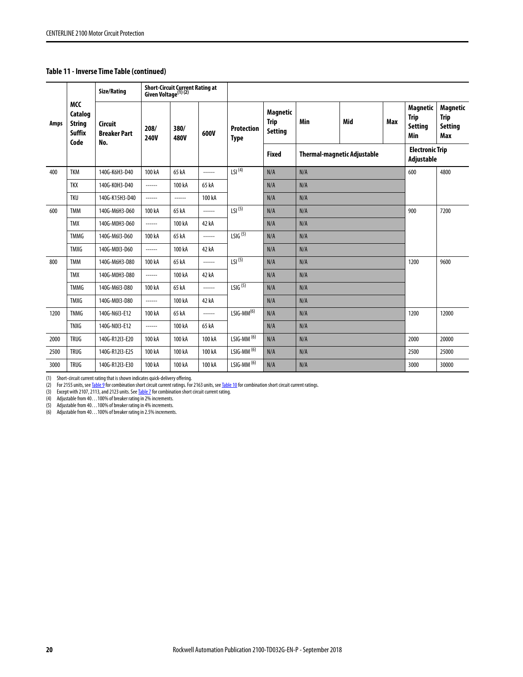#### **Table 11 - Inverse Time Table (continued)**

|      |                                                                 | Size/Rating                                  |                     | Short-Circuit Current Rating at<br>Given Voltage <sup>(1)</sup> <sup>(2)</sup> |        |                                  |                                           |     |                                    |      |                                                  |                                                  |
|------|-----------------------------------------------------------------|----------------------------------------------|---------------------|--------------------------------------------------------------------------------|--------|----------------------------------|-------------------------------------------|-----|------------------------------------|------|--------------------------------------------------|--------------------------------------------------|
| Amps | <b>MCC</b><br>Catalog<br><b>String</b><br><b>Suffix</b><br>Code | <b>Circuit</b><br><b>Breaker Part</b><br>No. | 208/<br><b>240V</b> | 380/<br><b>480V</b>                                                            | 600V   | <b>Protection</b><br><b>Type</b> | Magnetic<br><b>Trip</b><br><b>Setting</b> | Min | Mid                                | Max  | Magnetic<br><b>Trip</b><br><b>Setting</b><br>Min | Magnetic<br><b>Trip</b><br><b>Setting</b><br>Max |
|      |                                                                 |                                              |                     |                                                                                |        |                                  | <b>Fixed</b>                              |     | <b>Thermal-magnetic Adjustable</b> |      | <b>Electronic Trip</b><br>Adjustable             |                                                  |
| 400  | <b>TKM</b>                                                      | 140G-K6H3-D40                                | 100 kA              | 65 kA                                                                          | ------ | LSI <sup>(4)</sup>               | N/A                                       | N/A |                                    |      | 600                                              | 4800                                             |
|      | <b>TKX</b>                                                      | 140G-K0H3-D40                                | ------              | 100 kA                                                                         | 65 kA  |                                  | N/A                                       | N/A |                                    |      |                                                  |                                                  |
|      | <b>TKU</b>                                                      | 140G-K15H3-D40                               | ------              | ------                                                                         | 100 kA |                                  | N/A                                       | N/A |                                    |      |                                                  |                                                  |
| 600  | <b>TMM</b>                                                      | 140G-M6H3-D60                                | 100 kA              | 65 kA                                                                          | ------ | LSI <sup>(5)</sup>               | N/A                                       | N/A |                                    |      | 900                                              | 7200                                             |
|      | <b>TMX</b>                                                      | 140G-M0H3-D60                                | ------              | 100 kA                                                                         | 42 kA  |                                  | N/A                                       | N/A |                                    |      |                                                  |                                                  |
|      | <b>TMMG</b>                                                     | 140G-M6I3-D60                                | 100 kA              | 65 kA                                                                          |        | LSIG <sup>(5)</sup>              | N/A                                       | N/A |                                    |      |                                                  |                                                  |
|      | <b>TMXG</b>                                                     | 140G-M0I3-D60                                | ------              | 100 kA                                                                         | 42 kA  |                                  | N/A                                       | N/A |                                    |      |                                                  |                                                  |
| 800  | <b>TMM</b>                                                      | 140G-M6H3-D80                                | 100 kA              | 65 kA                                                                          | ------ | LSI <sup>(5)</sup>               | N/A                                       | N/A |                                    |      | 1200                                             | 9600                                             |
|      | <b>TMX</b>                                                      | 140G-M0H3-D80                                | ------              | 100 kA                                                                         | 42 kA  |                                  | N/A                                       | N/A |                                    |      |                                                  |                                                  |
|      | <b>TMMG</b>                                                     | 140G-M6I3-D80                                | 100 kA              | 65 kA                                                                          | ------ | LSIG <sup>(5)</sup>              | N/A                                       | N/A |                                    |      |                                                  |                                                  |
|      | <b>TMXG</b>                                                     | 140G-M0I3-D80                                | ------              | 100 kA                                                                         | 42 kA  |                                  | N/A                                       | N/A |                                    |      |                                                  |                                                  |
| 1200 | <b>TNMG</b>                                                     | 140G-N6I3-E12                                | 100 kA              | 65 kA                                                                          | ------ | $LSIG-MM^{(6)}$                  | N/A                                       | N/A |                                    |      | 1200                                             | 12000                                            |
|      | <b>TNXG</b>                                                     | 140G-N0I3-E12                                | ------              | 100 kA                                                                         | 65 kA  |                                  | N/A                                       | N/A |                                    |      |                                                  |                                                  |
| 2000 | <b>TRUG</b>                                                     | 140G-R12I3-E20                               | 100 kA              | 100 kA                                                                         | 100 kA | $LSIG-MM(6)$                     | N/A                                       | N/A |                                    |      | 2000                                             | 20000                                            |
| 2500 | <b>TRUG</b>                                                     | 140G-R12I3-E25                               | 100 kA              | 100 kA                                                                         | 100 kA | $LSIG-MM(6)$                     | N/A                                       | N/A |                                    |      | 2500                                             | 25000                                            |
| 3000 | <b>TRUG</b>                                                     | 140G-R12I3-E30                               | 100 kA              | 100 kA                                                                         | 100 kA | LSIG-MM <sup>(6)</sup>           | N/A                                       | N/A |                                    | 3000 | 30000                                            |                                                  |

(1) Short-circuit current rating that is shown indicates quick-delivery offering.<br>(2) For 2155 units, see <u>Table 9</u> for combination short circuit current ratings. For 2163 units, see <u>Table 10</u> for combination short circu

(3) Except with 2107, 2113, and 2123 units. See <u>[Table 7](#page-10-0)</u> for combination short circuit current rating.<br>(4) Adjustable from 40…100% of breaker rating in 2% increments.<br>(5) Adjustable from 40…100% of breaker r

<span id="page-19-0"></span>

(6) Adjustable from 40…100% of breaker rating in 2.5% increments.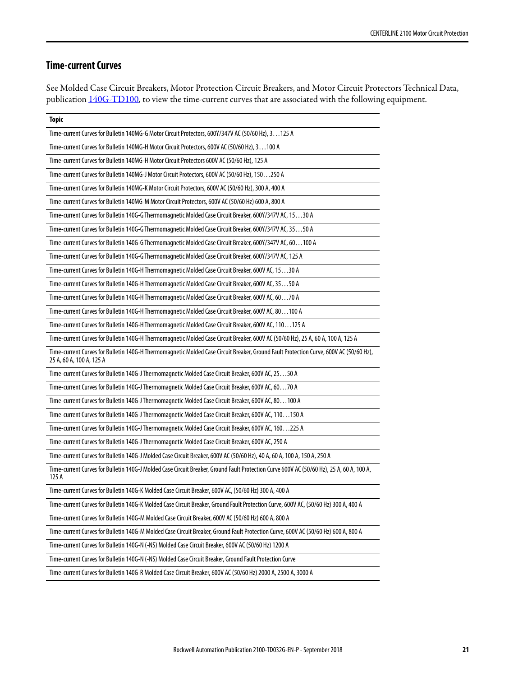# <span id="page-20-0"></span>**Time-current Curves**

See Molded Case Circuit Breakers, Motor Protection Circuit Breakers, and Motor Circuit Protectors Technical Data, publication [140G-TD100](http://literature.rockwellautomation.com/idc/groups/literature/documents/td/140g-td100_-en-p.pdf), to view the time-current curves that are associated with the following equipment.

| <b>Topic</b>                                                                                                                                                       |
|--------------------------------------------------------------------------------------------------------------------------------------------------------------------|
| Time-current Curves for Bulletin 140MG-G Motor Circuit Protectors, 600Y/347V AC (50/60 Hz), 3125 A                                                                 |
| Time-current Curves for Bulletin 140MG-H Motor Circuit Protectors, 600V AC (50/60 Hz), 3100 A                                                                      |
| Time-current Curves for Bulletin 140MG-H Motor Circuit Protectors 600V AC (50/60 Hz), 125 A                                                                        |
| Time-current Curves for Bulletin 140MG-J Motor Circuit Protectors, 600V AC (50/60 Hz), 150250 A                                                                    |
| Time-current Curves for Bulletin 140MG-K Motor Circuit Protectors, 600V AC (50/60 Hz), 300 A, 400 A                                                                |
| Time-current Curves for Bulletin 140MG-M Motor Circuit Protectors, 600V AC (50/60 Hz) 600 A, 800 A                                                                 |
| Time-current Curves for Bulletin 140G-G Thermomagnetic Molded Case Circuit Breaker, 600Y/347V AC, 1530 A                                                           |
| Time-current Curves for Bulletin 140G-G Thermomagnetic Molded Case Circuit Breaker, 600Y/347V AC, 3550 A                                                           |
| Time-current Curves for Bulletin 140G-G Thermomagnetic Molded Case Circuit Breaker, 600Y/347V AC, 60100 A                                                          |
| Time-current Curves for Bulletin 140G-G Thermomagnetic Molded Case Circuit Breaker, 600Y/347V AC, 125 A                                                            |
| Time-current Curves for Bulletin 140G-H Thermomagnetic Molded Case Circuit Breaker, 600V AC, 1530 A                                                                |
| Time-current Curves for Bulletin 140G-H Thermomagnetic Molded Case Circuit Breaker, 600V AC, 3550 A                                                                |
| Time-current Curves for Bulletin 140G-H Thermomagnetic Molded Case Circuit Breaker, 600V AC, 6070 A                                                                |
| Time-current Curves for Bulletin 140G-H Thermomagnetic Molded Case Circuit Breaker, 600V AC, 80100 A                                                               |
| Time-current Curves for Bulletin 140G-H Thermomagnetic Molded Case Circuit Breaker, 600V AC, 110125 A                                                              |
| Time-current Curves for Bulletin 140G-H Thermomagnetic Molded Case Circuit Breaker, 600V AC (50/60 Hz), 25 A, 60 A, 100 A, 125 A                                   |
| Time-current Curves for Bulletin 140G-H Thermomagnetic Molded Case Circuit Breaker, Ground Fault Protection Curve, 600V AC (50/60 Hz),<br>25 A, 60 A, 100 A, 125 A |
| Time-current Curves for Bulletin 140G-J Thermomagnetic Molded Case Circuit Breaker, 600V AC, 2550 A                                                                |
| Time-current Curves for Bulletin 140G-J Thermomagnetic Molded Case Circuit Breaker, 600V AC, 60. 70 A                                                              |
| Time-current Curves for Bulletin 140G-J Thermomagnetic Molded Case Circuit Breaker, 600V AC, 80100 A                                                               |
| Time-current Curves for Bulletin 140G-J Thermomagnetic Molded Case Circuit Breaker, 600V AC, 110150 A                                                              |
| Time-current Curves for Bulletin 140G-J Thermomagnetic Molded Case Circuit Breaker, 600V AC, 160225 A                                                              |
| Time-current Curves for Bulletin 140G-J Thermomagnetic Molded Case Circuit Breaker, 600V AC, 250 A                                                                 |
| Time-current Curves for Bulletin 140G-J Molded Case Circuit Breaker, 600V AC (50/60 Hz), 40 A, 60 A, 100 A, 150 A, 250 A                                           |
| Time-current Curves for Bulletin 140G-J Molded Case Circuit Breaker, Ground Fault Protection Curve 600V AC (50/60 Hz), 25 A, 60 A, 100 A,<br>125 A                 |
| Time-current Curves for Bulletin 140G-K Molded Case Circuit Breaker, 600V AC, (50/60 Hz) 300 A, 400 A                                                              |
| Time-current Curves for Bulletin 140G-K Molded Case Circuit Breaker, Ground Fault Protection Curve, 600V AC, (50/60 Hz) 300 A, 400 A                               |
| Time-current Curves for Bulletin 140G-M Molded Case Circuit Breaker, 600V AC (50/60 Hz) 600 A, 800 A                                                               |
| Time-current Curves for Bulletin 140G-M Molded Case Circuit Breaker, Ground Fault Protection Curve, 600V AC (50/60 Hz) 600 A, 800 A                                |
| Time-current Curves for Bulletin 140G-N (-NS) Molded Case Circuit Breaker, 600V AC (50/60 Hz) 1200 A                                                               |
| Time-current Curves for Bulletin 140G-N (-NS) Molded Case Circuit Breaker, Ground Fault Protection Curve                                                           |
| Time-current Curves for Bulletin 140G-R Molded Case Circuit Breaker, 600V AC (50/60 Hz) 2000 A, 2500 A, 3000 A                                                     |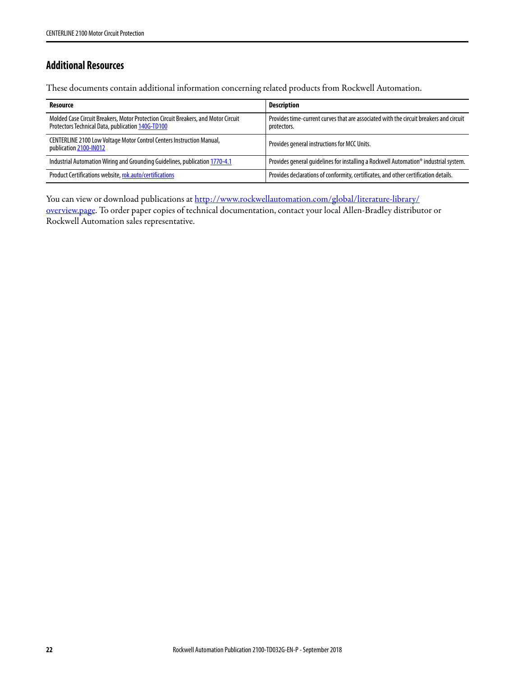# **Additional Resources**

These documents contain additional information concerning related products from Rockwell Automation.

| Resource                                                                                                                                | <b>Description</b>                                                                                    |
|-----------------------------------------------------------------------------------------------------------------------------------------|-------------------------------------------------------------------------------------------------------|
| Molded Case Circuit Breakers, Motor Protection Circuit Breakers, and Motor Circuit<br>Protectors Technical Data, publication 140G-TD100 | Provides time-current curves that are associated with the circuit breakers and circuit<br>protectors. |
| <b>CENTERLINE 2100 Low Voltage Motor Control Centers Instruction Manual,</b><br>publication 2100-IN012                                  | Provides general instructions for MCC Units.                                                          |
| Industrial Automation Wiring and Grounding Guidelines, publication 1770-4.1                                                             | Provides general guidelines for installing a Rockwell Automation® industrial system.                  |
| Product Certifications website, rok.auto/certifications                                                                                 | Provides declarations of conformity, certificates, and other certification details.                   |

You can view or download publications at [http://www.rockwellautomation.com/global/literature-library/](http://www.rockwellautomation.com/global/literature-library/overview.page) [overview.page.](http://www.rockwellautomation.com/global/literature-library/overview.page) To order paper copies of technical documentation, contact your local Allen-Bradley distributor or Rockwell Automation sales representative.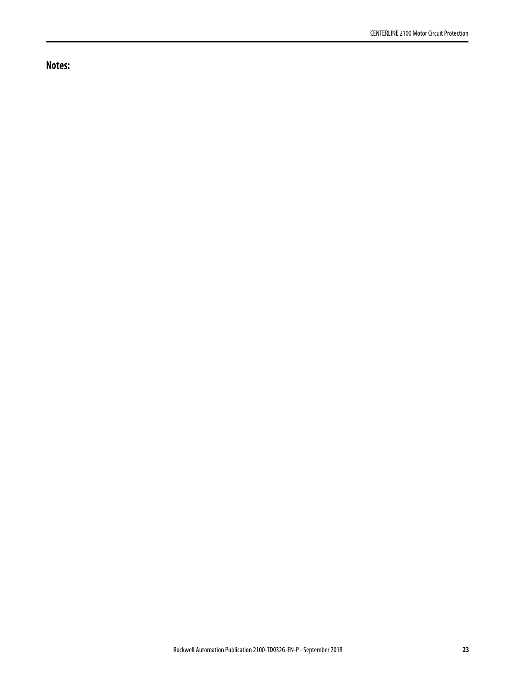**Notes:**